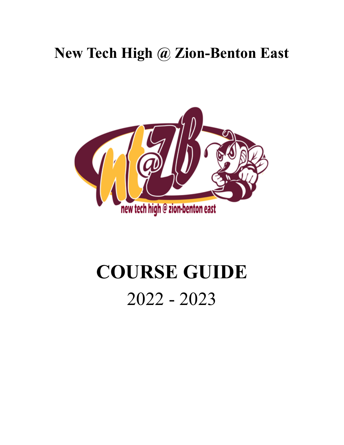# **New Tech High @ Zion-Benton East**



# **COURSE GUIDE** 2022 - 2023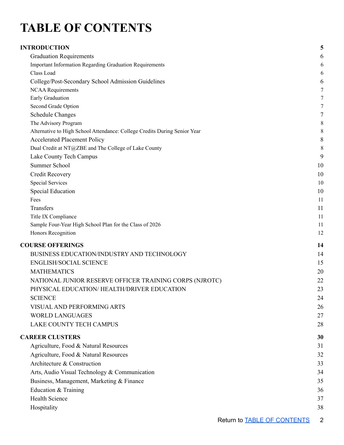# <span id="page-1-0"></span>**TABLE OF CONTENTS**

| <b>INTRODUCTION</b>                                                       | 5                |
|---------------------------------------------------------------------------|------------------|
| <b>Graduation Requirements</b>                                            | 6                |
| <b>Important Information Regarding Graduation Requirements</b>            | 6                |
| Class Load                                                                | 6                |
| College/Post-Secondary School Admission Guidelines                        | 6                |
| <b>NCAA Requirements</b>                                                  | $\boldsymbol{7}$ |
| Early Graduation                                                          | $\overline{7}$   |
| Second Grade Option                                                       | $\tau$           |
| <b>Schedule Changes</b>                                                   | $\tau$           |
| The Advisory Program                                                      | 8                |
| Alternative to High School Attendance: College Credits During Senior Year | 8                |
| <b>Accelerated Placement Policy</b>                                       | 8                |
| Dual Credit at NT@ZBE and The College of Lake County                      | 8                |
| Lake County Tech Campus                                                   | 9                |
| <b>Summer School</b>                                                      | 10               |
| Credit Recovery                                                           | 10               |
| <b>Special Services</b>                                                   | 10               |
| Special Education                                                         | 10               |
| Fees                                                                      | 11               |
| Transfers                                                                 | 11               |
| Title IX Compliance                                                       | 11               |
| Sample Four-Year High School Plan for the Class of 2026                   | 11               |
| Honors Recognition                                                        | 12               |
| <b>COURSE OFFERINGS</b>                                                   | 14               |
| BUSINESS EDUCATION/INDUSTRY AND TECHNOLOGY                                | 14               |
| <b>ENGLISH/SOCIAL SCIENCE</b>                                             | 15               |
| <b>MATHEMATICS</b>                                                        | 20               |
| NATIONAL JUNIOR RESERVE OFFICER TRAINING CORPS (NJROTC)                   | 22               |
| PHYSICAL EDUCATION/ HEALTH/DRIVER EDUCATION                               | 23               |
| <b>SCIENCE</b>                                                            | 24               |
| VISUAL AND PERFORMING ARTS                                                | 26               |
| <b>WORLD LANGUAGES</b>                                                    | 27               |
| LAKE COUNTY TECH CAMPUS                                                   | 28               |
|                                                                           |                  |
| <b>CAREER CLUSTERS</b>                                                    | 30               |
| Agriculture, Food & Natural Resources                                     | 31               |
| Agriculture, Food & Natural Resources                                     | 32               |
| Architecture & Construction                                               | 33               |
| Arts, Audio Visual Technology & Communication                             | 34               |
| Business, Management, Marketing & Finance                                 | 35               |
| Education & Training                                                      | 36               |
| <b>Health Science</b>                                                     | 37               |
| Hospitality                                                               | 38               |
|                                                                           |                  |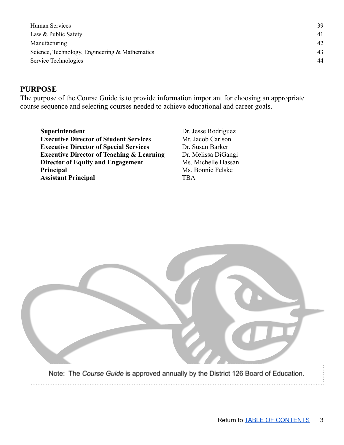Human [Services](#page-37-0) [39](#page-37-0) Law & [Public](#page-39-0) Safety [41](#page-39-0) [Manufacturing](#page-40-0) [42](#page-40-0) Science, Technology, Engineering & [Mathematics](#page-41-0) [43](#page-41-0) Service [Technologies](#page-42-0) [44](#page-42-0)

### **PURPOSE**

The purpose of the Course Guide is to provide information important for choosing an appropriate course sequence and selecting courses needed to achieve educational and career goals.

**Superintendent** Dr. Jesse Rodriguez **Executive Director of Student Services** Mr. Jacob Carlson **Executive Director of Special Services** Dr. Susan Barker **Executive Director of Teaching & Learning** Dr. Melissa DiGangi **Director of Equity and Engagement** Ms. Michelle Hassan **Principal** Ms. Bonnie Felske **Assistant Principal** TBA

| Note: The Course Guide is approved annually by the District 126 Board of Education. |
|-------------------------------------------------------------------------------------|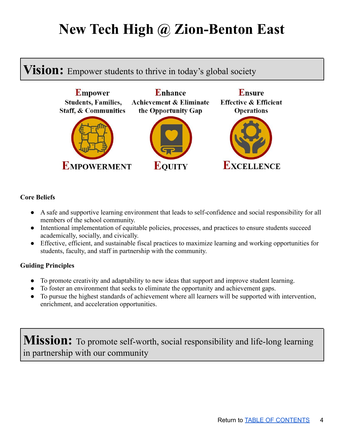# **New Tech High @ Zion-Benton East**

## **Vision:** Empower students to thrive in today's global society



#### **Core Beliefs**

- A safe and supportive learning environment that leads to self-confidence and social responsibility for all members of the school community.
- Intentional implementation of equitable policies, processes, and practices to ensure students succeed academically, socially, and civically.
- Effective, efficient, and sustainable fiscal practices to maximize learning and working opportunities for students, faculty, and staff in partnership with the community.

### **Guiding Principles**

- To promote creativity and adaptability to new ideas that support and improve student learning.
- To foster an environment that seeks to eliminate the opportunity and achievement gaps.
- To pursue the highest standards of achievement where all learners will be supported with intervention, enrichment, and acceleration opportunities.

**Mission:** To promote self-worth, social responsibility and life-long learning in partnership with our community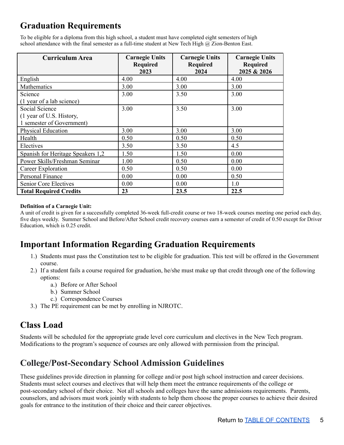### <span id="page-4-0"></span>**Graduation Requirements**

To be eligible for a diploma from this high school, a student must have completed eight semesters of high school attendance with the final semester as a full-time student at New Tech High @ Zion-Benton East.

| <b>Curriculum Area</b>            | <b>Carnegie Units</b><br><b>Required</b> | <b>Carnegie Units</b><br><b>Required</b> | <b>Carnegie Units</b><br><b>Required</b> |
|-----------------------------------|------------------------------------------|------------------------------------------|------------------------------------------|
|                                   | 2023                                     | 2024                                     | 2025 & 2026                              |
| English                           | 4.00                                     | 4.00                                     | 4.00                                     |
| Mathematics                       | 3.00                                     | 3.00                                     | 3.00                                     |
| Science                           | 3.00                                     | 3.50                                     | 3.00                                     |
| (1 year of a lab science)         |                                          |                                          |                                          |
| Social Science                    | 3.00                                     | 3.50                                     | 3.00                                     |
| (1 year of U.S. History,          |                                          |                                          |                                          |
| 1 semester of Government)         |                                          |                                          |                                          |
| <b>Physical Education</b>         | 3.00                                     | 3.00                                     | 3.00                                     |
| Health                            | 0.50                                     | 0.50                                     | 0.50                                     |
| Electives                         | 3.50                                     | 3.50                                     | 4.5                                      |
| Spanish for Heritage Speakers 1,2 | 1.50                                     | 1.50                                     | 0.00                                     |
| Power Skills/Freshman Seminar     | 1.00                                     | 0.50                                     | 0.00                                     |
| Career Exploration                | 0.50                                     | 0.50                                     | 0.00                                     |
| Personal Finance                  | 0.00                                     | 0.00                                     | 0.50                                     |
| Senior Core Electives             | 0.00                                     | 0.00                                     | 1.0                                      |
| <b>Total Required Credits</b>     | 23                                       | 23.5                                     | 22.5                                     |

#### **Definition of a Carnegie Unit:**

A unit of credit is given for a successfully completed 36-week full-credit course or two 18-week courses meeting one period each day, five days weekly. Summer School and Before/After School credit recovery courses earn a semester of credit of 0.50 except for Driver Education, which is 0.25 credit.

### <span id="page-4-1"></span>**Important Information Regarding Graduation Requirements**

- 1.) Students must pass the Constitution test to be eligible for graduation. This test will be offered in the Government course.
- 2.) If a student fails a course required for graduation, he/she must make up that credit through one of the following options:
	- a.) Before or After School
	- b.) Summer School
	- c.) Correspondence Courses
- 3.) The PE requirement can be met by enrolling in NJROTC.

### <span id="page-4-2"></span>**Class Load**

Students will be scheduled for the appropriate grade level core curriculum and electives in the New Tech program. Modifications to the program's sequence of courses are only allowed with permission from the principal.

### <span id="page-4-3"></span>**College/Post-Secondary School Admission Guidelines**

These guidelines provide direction in planning for college and/or post high school instruction and career decisions. Students must select courses and electives that will help them meet the entrance requirements of the college or post-secondary school of their choice. Not all schools and colleges have the same admissions requirements. Parents, counselors, and advisors must work jointly with students to help them choose the proper courses to achieve their desired goals for entrance to the institution of their choice and their career objectives.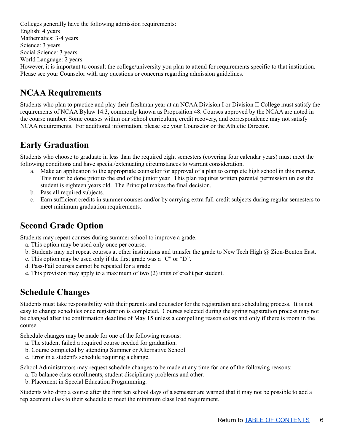Colleges generally have the following admission requirements: English: 4 years Mathematics: 3-4 years Science: 3 years Social Science: 3 years World Language: 2 years However, it is important to consult the college/university you plan to attend for requirements specific to that institution. Please see your Counselor with any questions or concerns regarding admission guidelines.

### <span id="page-5-0"></span>**NCAA Requirements**

Students who plan to practice and play their freshman year at an NCAA Division I or Division II College must satisfy the requirements of NCAA Bylaw 14.3, commonly known as Proposition 48. Courses approved by the NCAA are noted in the course number. Some courses within our school curriculum, credit recovery, and correspondence may not satisfy NCAA requirements. For additional information, please see your Counselor or the Athletic Director.

### <span id="page-5-1"></span>**Early Graduation**

Students who choose to graduate in less than the required eight semesters (covering four calendar years) must meet the following conditions and have special/extenuating circumstances to warrant consideration.

- a. Make an application to the appropriate counselor for approval of a plan to complete high school in this manner. This must be done prior to the end of the junior year. This plan requires written parental permission unless the student is eighteen years old. The Principal makes the final decision.
- b. Pass all required subjects.
- c. Earn sufficient credits in summer courses and/or by carrying extra full-credit subjects during regular semesters to meet minimum graduation requirements.

### <span id="page-5-2"></span>**Second Grade Option**

Students may repeat courses during summer school to improve a grade.

- a. This option may be used only once per course.
- b. Students may not repeat courses at other institutions and transfer the grade to New Tech High  $\omega$  Zion-Benton East.
- c. This option may be used only if the first grade was a "C" or "D".
- d. Pass-Fail courses cannot be repeated for a grade.
- <span id="page-5-3"></span>e. This provision may apply to a maximum of two (2) units of credit per student.

### **Schedule Changes**

Students must take responsibility with their parents and counselor for the registration and scheduling process. It is not easy to change schedules once registration is completed. Courses selected during the spring registration process may not be changed after the confirmation deadline of May 15 unless a compelling reason exists and only if there is room in the course.

Schedule changes may be made for one of the following reasons:

- a. The student failed a required course needed for graduation.
- b. Course completed by attending Summer or Alternative School.
- c. Error in a student's schedule requiring a change.

School Administrators may request schedule changes to be made at any time for one of the following reasons:

- a. To balance class enrollments, student disciplinary problems and other.
- b. Placement in Special Education Programming.

Students who drop a course after the first ten school days of a semester are warned that it may not be possible to add a replacement class to their schedule to meet the minimum class load requirement.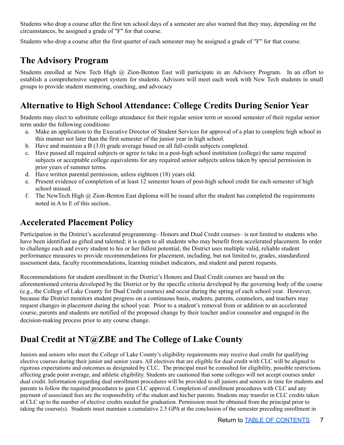Students who drop a course after the first ten school days of a semester are also warned that they may, depending on the circumstances, be assigned a grade of "F" for that course.

<span id="page-6-0"></span>Students who drop a course after the first quarter of each semester may be assigned a grade of "F" for that course.

### **The Advisory Program**

Students enrolled at New Tech High @ Zion-Benton East will participate in an Advisory Program. In an effort to establish a comprehensive support system for students. Advisors will meet each week with New Tech students in small groups to provide student mentoring, coaching, and advocacy

### <span id="page-6-1"></span>**Alternative to High School Attendance: College Credits During Senior Year**

Students may elect to substitute college attendance for their regular senior term or second semester of their regular senior term under the following conditions:

- a. Make an application to the Executive Director of Student Services for approval of a plan to complete high school in this manner not later than the first semester of the junior year in high school.
- b. Have and maintain a B (3.0) grade average based on all full-credit subjects completed.
- c. Have passed all required subjects or agree to take in a post-high school institution (college) the same required subjects or acceptable college equivalents for any required senior subjects unless taken by special permission in prior years of summer terms.
- d. Have written parental permission, unless eighteen (18) years old.
- e. Present evidence of completion of at least 12 semester hours of post-high school credit for each semester of high school missed.
- f. The NewTech High  $\omega$  Zion-Benton East diploma will be issued after the student has completed the requirements noted in A to E of this section.

### <span id="page-6-2"></span>**Accelerated Placement Policy**

Participation in the District's accelerated programming– Honors and Dual Credit courses– is not limited to students who have been identified as gifted and talented; it is open to all students who may benefit from accelerated placement. In order to challenge each and every student to his or her fullest potential, the District uses multiple valid, reliable student performance measures to provide recommendations for placement, including, but not limited to, grades, standardized assessment data, faculty recommendations, learning mindset indicators, and student and parent requests.

Recommendations for student enrollment in the District's Honors and Dual Credit courses are based on the aforementioned criteria developed by the District or by the specific criteria developed by the governing body of the course (e.g., the College of Lake County for Dual Credit courses) and occur during the spring of each school year. However, because the District monitors student progress on a continuous basis, students, parents, counselors, and teachers may request changes in placement during the school year. Prior to a student's removal from or addition to an accelerated course, parents and students are notified of the proposed change by their teacher and/or counselor and engaged in the decision-making process prior to any course change.

### <span id="page-6-3"></span>**Dual Credit at NT@ZBE and The College of Lake County**

Juniors and seniors who meet the College of Lake County's eligibility requirements may receive dual credit for qualifying elective courses during their junior and senior years. All electives that are eligible for dual credit with CLC will be aligned to rigorous expectations and outcomes as designated by CLC. The principal must be consulted for eligibility, possible restrictions affecting grade point average, and athletic eligibility. Students are cautioned that some colleges will not accept courses under dual credit. Information regarding dual enrollment procedures will be provided to all juniors and seniors in time for students and parents to follow the required procedures to gain CLC approval. Completion of enrollment procedures with CLC and any payment of associated fees are the responsibility of the student and his/her parents. Students may transfer in CLC credits taken at CLC up to the number of elective credits needed for graduation. Permission must be obtained from the principal prior to taking the course(s). Students must maintain a cumulative 2.5 GPA at the conclusion of the semester preceding enrollment in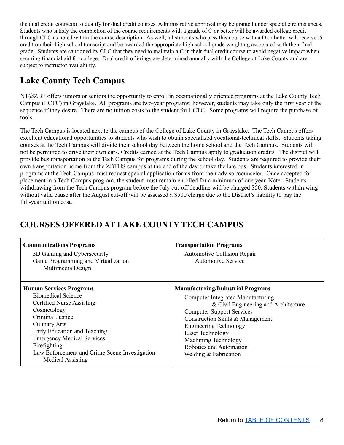the dual credit course(s) to qualify for dual credit courses. Administrative approval may be granted under special circumstances. Students who satisfy the completion of the course requirements with a grade of C or better will be awarded college credit through CLC as noted within the course description. As well, all students who pass this course with a D or better will receive .5 credit on their high school transcript and be awarded the appropriate high school grade weighting associated with their final grade. Students are cautioned by CLC that they need to maintain a C in their dual credit course to avoid negative impact when securing financial aid for college. Dual credit offerings are determined annually with the College of Lake County and are subject to instructor availability.

### <span id="page-7-0"></span>**Lake County Tech Campus**

NT@ZBE offers juniors or seniors the opportunity to enroll in occupationally oriented programs at the Lake County Tech Campus (LCTC) in Grayslake. All programs are two-year programs; however, students may take only the first year of the sequence if they desire. There are no tuition costs to the student for LCTC. Some programs will require the purchase of tools.

The Tech Campus is located next to the campus of the College of Lake County in Grayslake. The Tech Campus offers excellent educational opportunities to students who wish to obtain specialized vocational-technical skills. Students taking courses at the Tech Campus will divide their school day between the home school and the Tech Campus. Students will not be permitted to drive their own cars. Credits earned at the Tech Campus apply to graduation credits. The district will provide bus transportation to the Tech Campus for programs during the school day. Students are required to provide their own transportation home from the ZBTHS campus at the end of the day or take the late bus. Students interested in programs at the Tech Campus must request special application forms from their advisor/counselor. Once accepted for placement in a Tech Campus program, the student must remain enrolled for a minimum of one year. Note: Students withdrawing from the Tech Campus program before the July cut-off deadline will be charged \$50. Students withdrawing without valid cause after the August cut-off will be assessed a \$500 charge due to the District's liability to pay the full-year tuition cost.

| <b>Communications Programs</b><br>3D Gaming and Cybersecurity<br>Game Programming and Virtualization<br>Multimedia Design                                                                                                                                                                                                           | <b>Transportation Programs</b><br><b>Automotive Collision Repair</b><br><b>Automotive Service</b>                                                                                                                                                                                                                                       |
|-------------------------------------------------------------------------------------------------------------------------------------------------------------------------------------------------------------------------------------------------------------------------------------------------------------------------------------|-----------------------------------------------------------------------------------------------------------------------------------------------------------------------------------------------------------------------------------------------------------------------------------------------------------------------------------------|
| <b>Human Services Programs</b><br><b>Biomedical Science</b><br><b>Certified Nurse Assisting</b><br>Cosmetology<br><b>Criminal Justice</b><br><b>Culinary Arts</b><br>Early Education and Teaching<br><b>Emergency Medical Services</b><br>Firefighting<br>Law Enforcement and Crime Scene Investigation<br><b>Medical Assisting</b> | <b>Manufacturing/Industrial Programs</b><br><b>Computer Integrated Manufacturing</b><br>& Civil Engineering and Architecture<br><b>Computer Support Services</b><br>Construction Skills & Management<br><b>Engineering Technology</b><br>Laser Technology<br>Machining Technology<br>Robotics and Automation<br>Welding $&$ Fabrication |

### **COURSES OFFERED AT LAKE COUNTY TECH CAMPUS**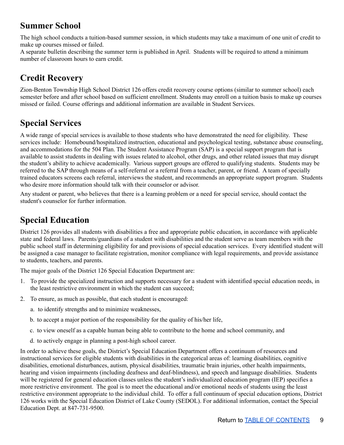### <span id="page-8-0"></span>**Summer School**

The high school conducts a tuition-based summer session, in which students may take a maximum of one unit of credit to make up courses missed or failed.

A separate bulletin describing the summer term is published in April. Students will be required to attend a minimum number of classroom hours to earn credit.

### <span id="page-8-1"></span>**Credit Recovery**

Zion-Benton Township High School District 126 offers credit recovery course options (similar to summer school) each semester before and after school based on sufficient enrollment. Students may enroll on a tuition basis to make up courses missed or failed. Course offerings and additional information are available in Student Services.

### <span id="page-8-2"></span>**Special Services**

A wide range of special services is available to those students who have demonstrated the need for eligibility. These services include: Homebound/hospitalized instruction, educational and psychological testing, substance abuse counseling, and accommodations for the 504 Plan. The Student Assistance Program (SAP) is a special support program that is available to assist students in dealing with issues related to alcohol, other drugs, and other related issues that may disrupt the student's ability to achieve academically. Various support groups are offered to qualifying students. Students may be referred to the SAP through means of a self-referral or a referral from a teacher, parent, or friend. A team of specially trained educators screens each referral, interviews the student, and recommends an appropriate support program. Students who desire more information should talk with their counselor or advisor.

Any student or parent, who believes that there is a learning problem or a need for special service, should contact the student's counselor for further information.

### <span id="page-8-3"></span>**Special Education**

District 126 provides all students with disabilities a free and appropriate public education, in accordance with applicable state and federal laws. Parents/guardians of a student with disabilities and the student serve as team members with the public school staff in determining eligibility for and provisions of special education services. Every identified student will be assigned a case manager to facilitate registration, monitor compliance with legal requirements, and provide assistance to students, teachers, and parents.

The major goals of the District 126 Special Education Department are:

- 1. To provide the specialized instruction and supports necessary for a student with identified special education needs, in the least restrictive environment in which the student can succeed;
- 2. To ensure, as much as possible, that each student is encouraged:
	- a. to identify strengths and to minimize weaknesses,
	- b. to accept a major portion of the responsibility for the quality of his/her life,
	- c. to view oneself as a capable human being able to contribute to the home and school community, and
	- d. to actively engage in planning a post-high school career.

In order to achieve these goals, the District's Special Education Department offers a continuum of resources and instructional services for eligible students with disabilities in the categorical areas of: learning disabilities, cognitive disabilities, emotional disturbances, autism, physical disabilities, traumatic brain injuries, other health impairments, hearing and vision impairments (including deafness and deaf-blindness), and speech and language disabilities. Students will be registered for general education classes unless the student's individualized education program (IEP) specifies a more restrictive environment. The goal is to meet the educational and/or emotional needs of students using the least restrictive environment appropriate to the individual child. To offer a full continuum of special education options, District 126 works with the Special Education District of Lake County (SEDOL). For additional information, contact the Special Education Dept. at 847-731-9500.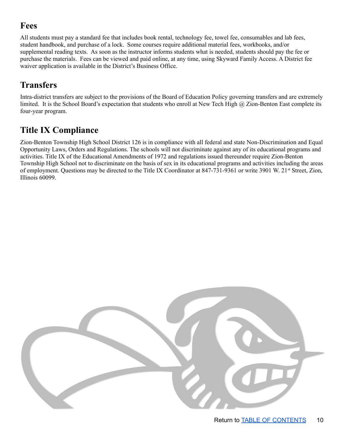### <span id="page-9-0"></span>**Fees**

All students must pay a standard fee that includes book rental, technology fee, towel fee, consumables and lab fees, student handbook, and purchase of a lock. Some courses require additional material fees, workbooks, and/or supplemental reading texts. As soon as the instructor informs students what is needed, students should pay the fee or purchase the materials. Fees can be viewed and paid online, at any time, using Skyward Family Access. A District fee waiver application is available in the District's Business Office.

### <span id="page-9-1"></span>**Transfers**

Intra-district transfers are subject to the provisions of the Board of Education Policy governing transfers and are extremely limited. It is the School Board's expectation that students who enroll at New Tech High @ Zion-Benton East complete its four-year program.

## <span id="page-9-2"></span>**Title IX Compliance**

<span id="page-9-3"></span>Zion-Benton Township High School District 126 is in compliance with all federal and state Non-Discrimination and Equal Opportunity Laws, Orders and Regulations. The schools will not discriminate against any of its educational programs and activities. Title IX of the Educational Amendments of 1972 and regulations issued thereunder require Zion-Benton Township High School not to discriminate on the basis of sex in its educational programs and activities including the areas of employment. Questions may be directed to the Title IX Coordinator at 847-731-9361 or write 3901 W. 21<sup>st</sup> Street, Zion, Illinois 60099.

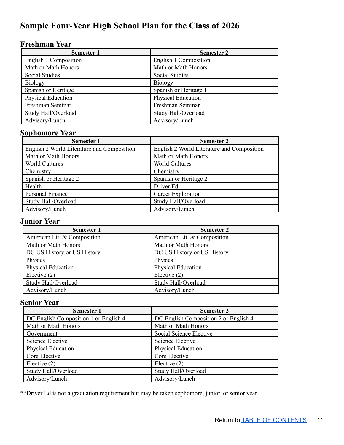### **Sample Four-Year High School Plan for the Class of 2026**

### **Freshman Year**

| <b>Semester 1</b>         | <b>Semester 2</b>     |
|---------------------------|-----------------------|
| English 1 Composition     | English 1 Composition |
| Math or Math Honors       | Math or Math Honors   |
| <b>Social Studies</b>     | Social Studies        |
| Biology                   | Biology               |
| Spanish or Heritage 1     | Spanish or Heritage 1 |
| <b>Physical Education</b> | Physical Education    |
| Freshman Seminar          | Freshman Seminar      |
| Study Hall/Overload       | Study Hall/Overload   |
| Advisory/Lunch            | Advisory/Lunch        |

### **Sophomore Year**

| <b>Semester 1</b>                          | <b>Semester 2</b>                          |
|--------------------------------------------|--------------------------------------------|
| English 2 World Literature and Composition | English 2 World Literature and Composition |
| Math or Math Honors                        | Math or Math Honors                        |
| <b>World Cultures</b>                      | <b>World Cultures</b>                      |
| Chemistry                                  | Chemistry                                  |
| Spanish or Heritage 2                      | Spanish or Heritage 2                      |
| Health                                     | Driver Ed                                  |
| Personal Finance                           | Career Exploration                         |
| Study Hall/Overload                        | Study Hall/Overload                        |
| Advisory/Lunch                             | Advisory/Lunch                             |

### **Junior Year**

| <b>Semester 1</b>           | <b>Semester 2</b>           |
|-----------------------------|-----------------------------|
| American Lit. & Composition | American Lit. & Composition |
| Math or Math Honors         | Math or Math Honors         |
| DC US History or US History | DC US History or US History |
| Physics                     | Physics                     |
| Physical Education          | Physical Education          |
| Elective $(2)$              | Elective $(2)$              |
| Study Hall/Overload         | Study Hall/Overload         |
| Advisory/Lunch              | Advisory/Lunch              |

### **Senior Year**

| <b>Semester 1</b>                     | <b>Semester 2</b>                     |
|---------------------------------------|---------------------------------------|
| DC English Composition 1 or English 4 | DC English Composition 2 or English 4 |
| Math or Math Honors                   | Math or Math Honors                   |
| Government                            | Social Science Elective               |
| Science Elective                      | Science Elective                      |
| <b>Physical Education</b>             | <b>Physical Education</b>             |
| Core Elective                         | Core Elective                         |
| Elective $(2)$                        | Elective $(2)$                        |
| Study Hall/Overload                   | Study Hall/Overload                   |
| Advisory/Lunch                        | Advisory/Lunch                        |

\*\*Driver Ed is not a graduation requirement but may be taken sophomore, junior, or senior year.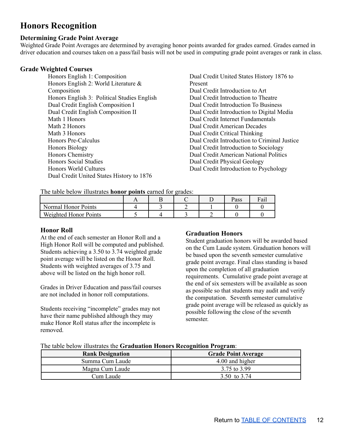### <span id="page-11-0"></span>**Honors Recognition**

### **Determining Grade Point Average**

Weighted Grade Point Averages are determined by averaging honor points awarded for grades earned. Grades earned in driver education and courses taken on a pass/fail basis will not be used in computing grade point averages or rank in class.

#### **Grade Weighted Courses**

Honors English 1: Composition Honors English 2: World Literature & Composition Honors English 3: Political Studies English Dual Credit English Composition I Dual Credit English Composition II Math 1 Honors Math 2 Honors Math 3 Honors Honors Pre-Calculus Honors Biology Honors Chemistry Honors Social Studies Honors World Cultures Dual Credit United States History to 1876

Dual Credit United States History 1876 to Present Dual Credit Introduction to Art Dual Credit Introduction to Theatre Dual Credit Introduction To Business Dual Credit Introduction to Digital Media Dual Credit Internet Fundamentals Dual Credit American Decades Dual Credit Critical Thinking Dual Credit Introduction to Criminal Justice Dual Credit Introduction to Sociology Dual Credit American National Politics Dual Credit Physical Geology Dual Credit Introduction to Psychology

The table below illustrates **honor points** earned for grades:

|                       |  |  | Pass | Fail |
|-----------------------|--|--|------|------|
| Normal Honor Points   |  |  |      |      |
| Weighted Honor Points |  |  |      |      |

#### **Honor Roll**

At the end of each semester an Honor Roll and a High Honor Roll will be computed and published. Students achieving a 3.50 to 3.74 weighted grade point average will be listed on the Honor Roll. Students with weighted averages of 3.75 and above will be listed on the high honor roll.

Grades in Driver Education and pass/fail courses are not included in honor roll computations.

Students receiving "incomplete" grades may not have their name published although they may make Honor Roll status after the incomplete is removed.

#### **Graduation Honors**

Student graduation honors will be awarded based on the Cum Laude system. Graduation honors will be based upon the seventh semester cumulative grade point average. Final class standing is based upon the completion of all graduation requirements. Cumulative grade point average at the end of six semesters will be available as soon as possible so that students may audit and verify the computation. Seventh semester cumulative grade point average will be released as quickly as possible following the close of the seventh semester.

| The table below illustrates the Graduation Honors Recognition Program: |  |  |
|------------------------------------------------------------------------|--|--|
|                                                                        |  |  |

| <b>Rank Designation</b> | <b>Grade Point Average</b> |
|-------------------------|----------------------------|
| Summa Cum Laude         | 4.00 and higher            |
| Magna Cum Laude         | 3.75 to 3.99               |
| Cum Laude               | 3.50 to 3.74               |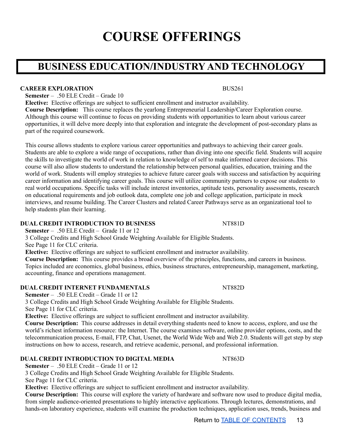# **COURSE OFFERINGS**

## <span id="page-12-1"></span><span id="page-12-0"></span>**BUSINESS EDUCATION/INDUSTRY AND TECHNOLOGY**

#### **CAREER EXPLORATION** BUS261

**Semester** – .50 ELE Credit – Grade 10

**Elective:** Elective offerings are subject to sufficient enrollment and instructor availability.

**Course Description:** This course replaces the yearlong Entrepreneurial Leadership/Career Exploration course. Although this course will continue to focus on providing students with opportunities to learn about various career opportunities, it will delve more deeply into that exploration and integrate the development of post-secondary plans as part of the required coursework.

This course allows students to explore various career opportunities and pathways to achieving their career goals. Students are able to explore a wide range of occupations, rather than diving into one specific field. Students will acquire the skills to investigate the world of work in relation to knowledge of self to make informed career decisions. This course will also allow students to understand the relationship between personal qualities, education, training and the world of work. Students will employ strategies to achieve future career goals with success and satisfaction by acquiring career information and identifying career goals. This course will utilize community partners to expose our students to real world occupations. Specific tasks will include interest inventories, aptitude tests, personality assessments, research on educational requirements and job outlook data, complete one job and college application, participate in mock interviews, and resume building. The Career Clusters and related Career Pathways serve as an organizational tool to help students plan their learning.

#### **DUAL CREDIT INTRODUCTION TO BUSINESS** NT881D

**Semester** – .50 ELE Credit – Grade 11 or 12

3 College Credits and High School Grade Weighting Available for Eligible Students.

See Page 11 for CLC criteria.

**Elective:** Elective offerings are subject to sufficient enrollment and instructor availability.

**Course Description:** This course provides a broad overview of the principles, functions, and careers in business. Topics included are economics, global business, ethics, business structures, entrepreneurship, management, marketing, accounting, finance and operations management.

#### **DUAL CREDIT INTERNET FUNDAMENTALS** NT882D

**Semester** – .50 ELE Credit – Grade 11 or 12

3 College Credits and High School Grade Weighting Available for Eligible Students.

See Page 11 for CLC criteria.

**Elective:** Elective offerings are subject to sufficient enrollment and instructor availability.

**Course Description:** This course addresses in detail everything students need to know to access, explore, and use the world's richest information resource: the Internet. The course examines software, online provider options, costs, and the telecommunication process, E-mail, FTP, Chat, Usenet, the World Wide Web and Web 2.0. Students will get step by step instructions on how to access, research, and retrieve academic, personal, and professional information.

#### **DUAL CREDIT INTRODUCTION TO DIGITAL MEDIA** NT863D

**Semester** – .50 ELE Credit – Grade 11 or 12

3 College Credits and High School Grade Weighting Available for Eligible Students.

See Page 11 for CLC criteria.

**Elective:** Elective offerings are subject to sufficient enrollment and instructor availability.

**Course Description:** This course will explore the variety of hardware and software now used to produce digital media, from simple audience-oriented presentations to highly interactive applications. Through lectures, demonstrations, and hands-on laboratory experience, students will examine the production techniques, application uses, trends, business and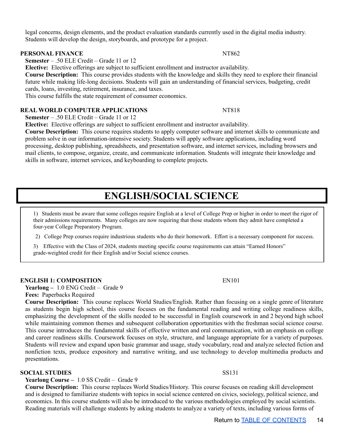legal concerns, design elements, and the product evaluation standards currently used in the digital media industry. Students will develop the design, storyboards, and prototype for a project.

#### **PERSONAL FINANCE** NT862

**Semester** – .50 ELE Credit – Grade 11 or 12

**Elective:** Elective offerings are subject to sufficient enrollment and instructor availability.

**Course Description:** This course provides students with the knowledge and skills they need to explore their financial future while making life-long decisions. Students will gain an understanding of financial services, budgeting, credit cards, loans, investing, retirement, insurance, and taxes.

This course fulfills the state requirement of consumer economics.

#### **REAL WORLD COMPUTER APPLICATIONS** NT818

**Semester** – .50 ELE Credit – Grade 11 or 12

**Elective:** Elective offerings are subject to sufficient enrollment and instructor availability.

**Course Description:** This course requires students to apply computer software and internet skills to communicate and problem solve in our information-intensive society. Students will apply software applications, including word processing, desktop publishing, spreadsheets, and presentation software, and internet services, including browsers and mail clients, to compose, organize, create, and communicate information. Students will integrate their knowledge and skills in software, internet services, and keyboarding to complete projects.

### **ENGLISH/SOCIAL SCIENCE**

<span id="page-13-0"></span>1) Students must be aware that some colleges require English at a level of College Prep or higher in order to meet the rigor of their admissions requirements. Many colleges are now requiring that those students whom they admit have completed a four-year College Preparatory Program.

2) College Prep courses require industrious students who do their homework. Effort is a necessary component for success.

3) Effective with the Class of 2024, students meeting specific course requirements can attain "Earned Honors" grade-weighted credit for their English and/or Social science courses.

#### **ENGLISH 1: COMPOSITION** EN101

**Yearlong –** 1.0 ENG Credit – Grade 9 **Fees:** Paperbacks Required

**Course Description:** This course replaces World Studies/English. Rather than focusing on a single genre of literature as students begin high school, this course focuses on the fundamental reading and writing college readiness skills, emphasizing the development of the skills needed to be successful in English coursework in and 2 beyond high school while maintaining common themes and subsequent collaboration opportunities with the freshman social science course. This course introduces the fundamental skills of effective written and oral communication, with an emphasis on college and career readiness skills. Coursework focuses on style, structure, and language appropriate for a variety of purposes. Students will review and expand upon basic grammar and usage, study vocabulary, read and analyze selected fiction and nonfiction texts, produce expository and narrative writing, and use technology to develop multimedia products and presentations.

#### **SOCIAL STUDIES** SS131

#### **Yearlong Course –** 1.0 SS Credit – Grade 9

**Course Description:** This course replaces World Studies/History. This course focuses on reading skill development and is designed to familiarize students with topics in social science centered on civics, sociology, political science, and economics. In this course students will also be introduced to the various methodologies employed by social scientists. Reading materials will challenge students by asking students to analyze a variety of texts, including various forms of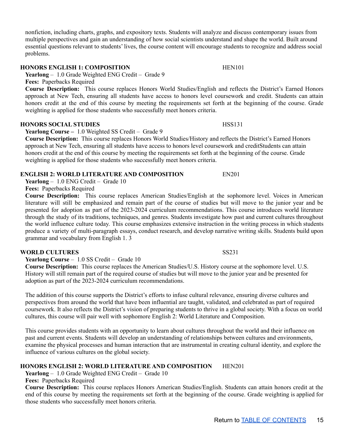nonfiction, including charts, graphs, and expository texts. Students will analyze and discuss contemporary issues from multiple perspectives and gain an understanding of how social scientists understand and shape the world. Built around essential questions relevant to students' lives, the course content will encourage students to recognize and address social problems.

### **HONORS ENGLISH 1: COMPOSITION** HEN101

**Yearlong** – 1.0 Grade Weighted ENG Credit – Grade 9

**Fees:** Paperbacks Required

**Course Description:** This course replaces Honors World Studies/English and reflects the District's Earned Honors approach at New Tech, ensuring all students have access to honors level coursework and credit. Students can attain honors credit at the end of this course by meeting the requirements set forth at the beginning of the course. Grade weighting is applied for those students who successfully meet honors criteria.

#### **HONORS SOCIAL STUDIES** HSS131

**Yearlong Course –** 1.0 Weighted SS Credit – Grade 9

**Course Description:** This course replaces Honors World Studies/History and reflects the District's Earned Honors approach at New Tech, ensuring all students have access to honors level coursework and creditStudents can attain honors credit at the end of this course by meeting the requirements set forth at the beginning of the course. Grade weighting is applied for those students who successfully meet honors criteria.

### **ENGLISH 2: WORLD LITERATURE AND COMPOSITION** EN201

**Yearlong** – 1.0 ENG Credit – Grade 10

**Fees:** Paperbacks Required

**Course Description:** This course replaces American Studies/English at the sophomore level. Voices in American literature will still be emphasized and remain part of the course of studies but will move to the junior year and be presented for adoption as part of the 2023-2024 curriculum recommendations. This course introduces world literature through the study of its traditions, techniques, and genres. Students investigate how past and current cultures throughout the world influence culture today. This course emphasizes extensive instruction in the writing process in which students produce a variety of multi-paragraph essays, conduct research, and develop narrative writing skills. Students build upon grammar and vocabulary from English 1. 3

### **WORLD CULTURES** SS231

**Yearlong Course** – 1.0 SS Credit – Grade 10

**Course Description:** This course replaces the American Studies/U.S. History course at the sophomore level. U.S. History will still remain part of the required course of studies but will move to the junior year and be presented for adoption as part of the 2023-2024 curriculum recommendations.

The addition of this course supports the District's efforts to infuse cultural relevance, ensuring diverse cultures and perspectives from around the world that have been influential are taught, validated, and celebrated as part of required coursework. It also reflects the District's vision of preparing students to thrive in a global society. With a focus on world cultures, this course will pair well with sophomore English 2: World Literature and Composition.

This course provides students with an opportunity to learn about cultures throughout the world and their influence on past and current events. Students will develop an understanding of relationships between cultures and environments, examine the physical processes and human interaction that are instrumental in creating cultural identity, and explore the influence of various cultures on the global society.

### **HONORS ENGLISH 2: WORLD LITERATURE AND COMPOSITION** HEN201

**Yearlong** – 1.0 Grade Weighted ENG Credit – Grade 10

**Fees:** Paperbacks Required

**Course Description:** This course replaces Honors American Studies/English. Students can attain honors credit at the end of this course by meeting the requirements set forth at the beginning of the course. Grade weighting is applied for those students who successfully meet honors criteria.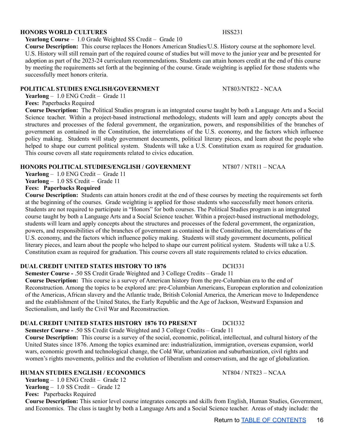#### **HONORS WORLD CULTURES** HSS231

**Yearlong Course** – 1.0 Grade Weighted SS Credit – Grade 10

**Course Description:** This course replaces the Honors American Studies/U.S. History course at the sophomore level. U.S. History will still remain part of the required course of studies but will move to the junior year and be presented for adoption as part of the 2023-24 curriculum recommendations. Students can attain honors credit at the end of this course by meeting the requirements set forth at the beginning of the course. Grade weighting is applied for those students who successfully meet honors criteria.

#### **POLITICAL STUDIES ENGLISH/GOVERNMENT** NT803/NT822 - NCAA

**Yearlong** – 1.0 ENG Credit – Grade 11

**Fees:** Paperbacks Required

**Course Description:** The Political Studies program is an integrated course taught by both a Language Arts and a Social Science teacher. Within a project-based instructional methodology, students will learn and apply concepts about the structures and processes of the federal government, the organization, powers, and responsibilities of the branches of government as contained in the Constitution, the interrelations of the U.S. economy, and the factors which influence policy making. Students will study government documents, political literary pieces, and learn about the people who helped to shape our current political system. Students will take a U.S. Constitution exam as required for graduation. This course covers all state requirements related to civics education.

### **HONORS POLITICAL STUDIES/ENGLISH / GOVERNMENT** NT807 / NT811 – NCAA

**Yearlong** – 1.0 ENG Credit – Grade 11 **Yearlong** – 1.0 SS Credit – Grade 11

#### **Fees: Paperbacks Required**

**Course Description:** Students can attain honors credit at the end of these courses by meeting the requirements set forth at the beginning of the courses. Grade weighting is applied for those students who successfully meet honors criteria. Students are not required to participate in "Honors" for both courses. The Political Studies program is an integrated course taught by both a Language Arts and a Social Science teacher. Within a project-based instructional methodology, students will learn and apply concepts about the structures and processes of the federal government, the organization, powers, and responsibilities of the branches of government as contained in the Constitution, the interrelations of the U.S. economy, and the factors which influence policy making. Students will study government documents, political literary pieces, and learn about the people who helped to shape our current political system. Students will take a U.S. Constitution exam as required for graduation. This course covers all state requirements related to civics education.

### **DUAL CREDIT UNITED STATES HISTORY TO 1876** DCH331

**Semester Course -** .50 SS Credit Grade Weighted and 3 College Credits – Grade 11

**Course Description:** This course is a survey of American history from the pre-Columbian era to the end of Reconstruction. Among the topics to be explored are: pre-Columbian Americans, European exploration and colonization of the Americas, African slavery and the Atlantic trade, British Colonial America, the American move to Independence and the establishment of the United States, the Early Republic and the Age of Jackson, Westward Expansion and Sectionalism, and lastly the Civil War and Reconstruction.

### **DUAL CREDIT UNITED STATES HISTORY 1876 TO PRESENT** DCH332

**Semester Course -** .50 SS Credit Grade Weighted and 3 College Credits – Grade 11 **Course Description:** This course is a survey of the social, economic, political, intellectual, and cultural history of the United States since 1876. Among the topics examined are: industrialization, immigration, overseas expansion, world wars, economic growth and technological change, the Cold War, urbanization and suburbanization, civil rights and women's rights movements, politics and the evolution of liberalism and conservatism, and the age of globalization.

### **HUMAN STUDIES ENGLISH / ECONOMICS** NT804 / NT823 – NCAA

**Yearlong** – 1.0 ENG Credit – Grade 12 Yearlong – 1.0 SS Credit – Grade 12

**Fees:** Paperbacks Required

**Course Description:** This senior level course integrates concepts and skills from English, Human Studies, Government, and Economics. The class is taught by both a Language Arts and a Social Science teacher. Areas of study include: the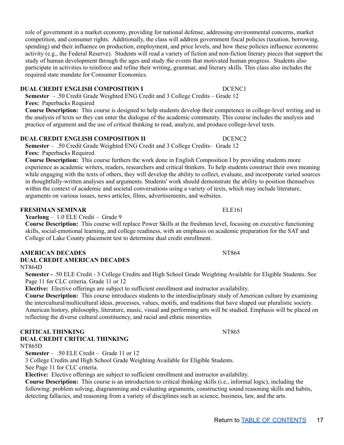role of government in a market economy, providing for national defense, addressing environmental concerns, market competition, and consumer rights. Additionally, the class will address government fiscal policies (taxation, borrowing, spending) and their influence on production, employment, and price levels, and how these policies influence economic activity (e.g., the Federal Reserve). Students will read a variety of fiction and non-fiction literary pieces that support the study of human development through the ages and study the events that motivated human progress. Students also participate in activities to reinforce and refine their writing, grammar, and literary skills. This class also includes the required state mandate for Consumer Economics.

#### **DUAL CREDIT ENGLISH COMPOSITION I** DCENC1

**Semester** – .50 Credit Grade Weighted ENG Credit and 3 College Credits – Grade 12 **Fees:** Paperbacks Required

**Course Description:** This course is designed to help students develop their competence in college-level writing and in the analysis of texts so they can enter the dialogue of the academic community. This course includes the analysis and practice of argument and the use of critical thinking to read, analyze, and produce college-level texts.

#### **DUAL CREDIT ENGLISH COMPOSITION II** DCENC2

**Semester** – .50 Credit Grade Weighted ENG Credit and 3 College Credits– Grade 12 **Fees:** Paperbacks Required

**Course Description:** This course furthers the work done in English Composition I by providing students more experience as academic writers, readers, researchers and critical thinkers. To help students construct their own meaning while engaging with the texts of others, they will develop the ability to collect, evaluate, and incorporate varied sources in thoughtfully-written analyses and arguments. Students' work should demonstrate the ability to position themselves within the context of academic and societal conversations using a variety of texts, which may include literature, arguments on various issues, news articles, films, advertisements, and websites.

#### **FRESHMAN SEMINAR** ELE161

**Yearlong** – 1.0 ELE Credit – Grade 9

**Course Description:** This course will replace Power Skills at the freshman level, focusing on executive functioning skills, social-emotional learning, and college readiness, with an emphasis on academic preparation for the SAT and College of Lake County placement test to determine dual credit enrollment.

#### **AMERICAN DECADES** NT864

#### **DUAL CREDIT AMERICAN DECADES**

NT864D

**Semester -** .50 ELE Credit - 3 College Credits and High School Grade Weighting Available for Eligible Students. See Page 11 for CLC criteria. Grade 11 or 12

**Elective:** Elective offerings are subject to sufficient enrollment and instructor availability.

**Course Description:** This course introduces students to the interdisciplinary study of American culture by examining the intercultural/multicultural ideas, processes, values, motifs, and traditions that have shaped our pluralistic society. American history, philosophy, literature, music, visual and performing arts will be studied. Emphasis will be placed on reflecting the diverse cultural constituency, and racial and ethnic minorities.

#### **CRITICAL THINKING** NT865 **DUAL CREDIT CRITICAL THINKING**

NT865D

**Semester** – .50 ELE Credit – Grade 11 or 12

3 College Credits and High School Grade Weighting Available for Eligible Students.

See Page 11 for CLC criteria.

**Elective:** Elective offerings are subject to sufficient enrollment and instructor availability.

**Course Description:** This course is an introduction to critical thinking skills (i.e., informal logic), including the following: problem solving, diagramming and evaluating arguments, constructing sound reasoning skills and habits, detecting fallacies, and reasoning from a variety of disciplines such as science, business, law, and the arts.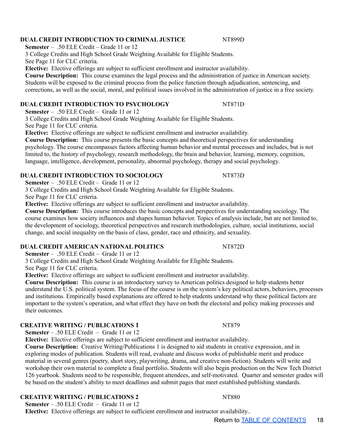### **DUAL CREDIT INTRODUCTION TO CRIMINAL JUSTICE** NT899D

**Semester** – .50 ELE Credit – Grade 11 or 12

3 College Credits and High School Grade Weighting Available for Eligible Students. See Page 11 for CLC criteria.

**Elective:** Elective offerings are subject to sufficient enrollment and instructor availability.

**Course Description:** This course examines the legal process and the administration of justice in American society. Students will be exposed to the criminal process from the police function through adjudication, sentencing, and

## corrections, as well as the social, moral, and political issues involved in the administration of justice in a free society.

### **DUAL CREDIT INTRODUCTION TO PSYCHOLOGY NT871D**

**Semester** – .50 ELE Credit – Grade 11 or 12

3 College Credits and High School Grade Weighting Available for Eligible Students.

See Page 11 for CLC criteria.

**Elective:** Elective offerings are subject to sufficient enrollment and instructor availability.

**Course Description:** This course presents the basic concepts and theoretical perspectives for understanding psychology. The course encompasses factors affecting human behavior and mental processes and includes, but is not limited to, the history of psychology, research methodology, the brain and behavior, learning, memory, cognition, language, intelligence, development, personality, abnormal psychology, therapy and social psychology.

### **DUAL CREDIT INTRODUCTION TO SOCIOLOGY** NT873D

**Semester** – .50 ELE Credit – Grade 11 or 12

3 College Credits and High School Grade Weighting Available for Eligible Students.

See Page 11 for CLC criteria.

**Elective:** Elective offerings are subject to sufficient enrollment and instructor availability.

**Course Description:** This course introduces the basic concepts and perspectives for understanding sociology. The course examines how society influences and shapes human behavior. Topics of analysis include, but are not limited to, the development of sociology, theoretical perspectives and research methodologies, culture, social institutions, social change, and social inequality on the basis of class, gender, race and ethnicity, and sexuality.

### **DUAL CREDIT AMERICAN NATIONAL POLITICS** NT872D

**Semester** – .50 ELE Credit – Grade 11 or 12

3 College Credits and High School Grade Weighting Available for Eligible Students.

See Page 11 for CLC criteria.

**Elective:** Elective offerings are subject to sufficient enrollment and instructor availability.

**Course Description:** This course is an introductory survey to American politics designed to help students better understand the U.S. political system. The focus of the course is on the system's key political actors, behaviors, processes and institutions. Empirically based explanations are offered to help students understand why these political factors are important to the system's operation, and what effect they have on both the electoral and policy making processes and their outcomes.

### **CREATIVE WRITING / PUBLICATIONS 1** NT879

**Semester** – .50 ELE Credit – Grade 11 or 12

**Elective:** Elective offerings are subject to sufficient enrollment and instructor availability.

**Course Description:** Creative Writing/Publications 1 is designed to aid students in creative expression, and in exploring modes of publication. Students will read, evaluate and discuss works of publishable merit and produce material in several genres (poetry, short story, playwriting, drama, and creative non-fiction). Students will write and workshop their own material to complete a final portfolio. Students will also begin production on the New Tech District 126 yearbook. Students need to be responsible, frequent attendees, and self-motivated. Quarter and semester grades will be based on the student's ability to meet deadlines and submit pages that meet established publishing standards.

### **CREATIVE WRITING / PUBLICATIONS 2** NT880

**Semester** – .50 ELE Credit – Grade 11 or 12

**Elective:** Elective offerings are subject to sufficient enrollment and instructor availability..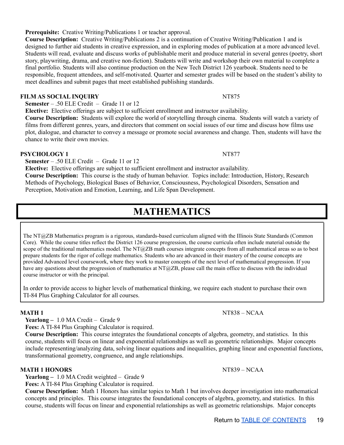#### **Prerequisite:** Creative Writing/Publications 1 or teacher approval.

**Course Description:** Creative Writing/Publications 2 is a continuation of Creative Writing/Publication 1 and is designed to further aid students in creative expression, and in exploring modes of publication at a more advanced level. Students will read, evaluate and discuss works of publishable merit and produce material in several genres (poetry, short story, playwriting, drama, and creative non-fiction). Students will write and workshop their own material to complete a final portfolio. Students will also continue production on the New Tech District 126 yearbook. Students need to be responsible, frequent attendees, and self-motivated. Quarter and semester grades will be based on the student's ability to meet deadlines and submit pages that meet established publishing standards.

#### **FILM AS SOCIAL INQUIRY** NT875

**Semester** – .50 ELE Credit – Grade 11 or 12

**Elective:** Elective offerings are subject to sufficient enrollment and instructor availability.

**Course Description:** Students will explore the world of storytelling through cinema. Students will watch a variety of films from different genres, years, and directors that comment on social issues of our time and discuss how films use plot, dialogue, and character to convey a message or promote social awareness and change. Then, students will have the chance to write their own movies.

#### **PSYCHOLOGY 1** NT877

**Semester** – .50 ELE Credit – Grade 11 or 12

**Elective:** Elective offerings are subject to sufficient enrollment and instructor availability.

<span id="page-18-0"></span>**Course Description:** This course is the study of human behavior. Topics include: Introduction, History, Research Methods of Psychology, Biological Bases of Behavior, Consciousness, Psychological Disorders, Sensation and Perception, Motivation and Emotion, Learning, and Life Span Development.

### **MATHEMATICS**

The NT@ZB Mathematics program is a rigorous, standards-based curriculum aligned with the Illinois State Standards (Common Core). While the course titles reflect the District 126 course progression, the course curricula often include material outside the scope of the traditional mathematics model. The NT@ZB math courses integrate concepts from all mathematical areas so as to best prepare students for the rigor of college mathematics. Students who are advanced in their mastery of the course concepts are provided Advanced level coursework, where they work to master concepts of the next level of mathematical progression. If you have any questions about the progression of mathematics at  $NT@ZB$ , please call the main office to discuss with the individual course instructor or with the principal.

In order to provide access to higher levels of mathematical thinking, we require each student to purchase their own TI-84 Plus Graphing Calculator for all courses.

**Yearlong –** 1.0 MA Credit – Grade 9

**Fees:** A TI-84 Plus Graphing Calculator is required.

**Course Description:** This course integrates the foundational concepts of algebra, geometry, and statistics. In this course, students will focus on linear and exponential relationships as well as geometric relationships. Major concepts include representing/analyzing data, solving linear equations and inequalities, graphing linear and exponential functions, transformational geometry, congruence, and angle relationships.

#### **MATH 1 HONORS** NT839 – NCAA

**Yearlong –** 1.0 MA Credit weighted – Grade 9

**Fees:** A TI-84 Plus Graphing Calculator is required.

**Course Description:** Math 1 Honors has similar topics to Math 1 but involves deeper investigation into mathematical concepts and principles. This course integrates the foundational concepts of algebra, geometry, and statistics. In this course, students will focus on linear and exponential relationships as well as geometric relationships. Major concepts

**MATH** 1 NT838 – NCAA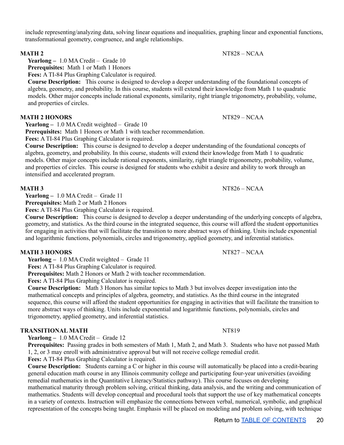include representing/analyzing data, solving linear equations and inequalities, graphing linear and exponential functions, transformational geometry, congruence, and angle relationships.

**Yearlong –** 1.0 MA Credit – Grade 10

**Prerequisites:** Math 1 or Math 1 Honors

**Fees:** A TI-84 Plus Graphing Calculator is required.

**Course Description:** This course is designed to develop a deeper understanding of the foundational concepts of algebra, geometry, and probability. In this course, students will extend their knowledge from Math 1 to quadratic models. Other major concepts include rational exponents, similarity, right triangle trigonometry, probability, volume, and properties of circles.

#### **MATH 2 HONORS** NT829 – NCAA

**Yearlong –** 1.0 MA Credit weighted – Grade 10

**Prerequisites:** Math 1 Honors or Math 1 with teacher recommendation.

**Fees:** A TI-84 Plus Graphing Calculator is required.

**Course Description:** This course is designed to develop a deeper understanding of the foundational concepts of algebra, geometry, and probability. In this course, students will extend their knowledge from Math 1 to quadratic models. Other major concepts include rational exponents, similarity, right triangle trigonometry, probability, volume, and properties of circles. This course is designed for students who exhibit a desire and ability to work through an intensified and accelerated program.

#### **MATH 3** NT826 – NCAA

**Yearlong –** 1.0 MA Credit – Grade 11

**Prerequisites:** Math 2 or Math 2 Honors

**Fees:** A TI-84 Plus Graphing Calculator is required.

**Course Description:** This course is designed to develop a deeper understanding of the underlying concepts of algebra, geometry, and statistics. As the third course in the integrated sequence, this course will afford the student opportunities for engaging in activities that will facilitate the transition to more abstract ways of thinking. Units include exponential and logarithmic functions, polynomials, circles and trigonometry, applied geometry, and inferential statistics.

#### **MATH 3 HONORS** NT827 – NCAA

**Yearlong –** 1.0 MA Credit weighted – Grade 11

**Fees:** A TI-84 Plus Graphing Calculator is required.

**Prerequisites:** Math 2 Honors or Math 2 with teacher recommendation.

**Fees:** A TI-84 Plus Graphing Calculator is required.

**Course Description:** Math 3 Honors has similar topics to Math 3 but involves deeper investigation into the mathematical concepts and principles of algebra, geometry, and statistics. As the third course in the integrated sequence, this course will afford the student opportunities for engaging in activities that will facilitate the transition to more abstract ways of thinking. Units include exponential and logarithmic functions, polynomials, circles and trigonometry, applied geometry, and inferential statistics.

#### **TRANSITIONAL MATH** NT819

**Yearlong –** 1.0 MA Credit – Grade 12

**Prerequisites:** Passing grades in both semesters of Math 1, Math 2, and Math 3. Students who have not passed Math 1, 2, or 3 may enroll with administrative approval but will not receive college remedial credit.

**Fees:** A TI-84 Plus Graphing Calculator is required.

**Course Description:** Students earning a C or higher in this course will automatically be placed into a credit-bearing general education math course in any Illinois community college and participating four-year universities (avoiding remedial mathematics in the Quantitative Literacy/Statistics pathway). This course focuses on developing mathematical maturity through problem solving, critical thinking, data analysis, and the writing and communication of mathematics. Students will develop conceptual and procedural tools that support the use of key mathematical concepts in a variety of contexts. Instruction will emphasize the connections between verbal, numerical, symbolic, and graphical representation of the concepts being taught. Emphasis will be placed on modeling and problem solving, with technique

### **MATH** 2 NT828 – NCAA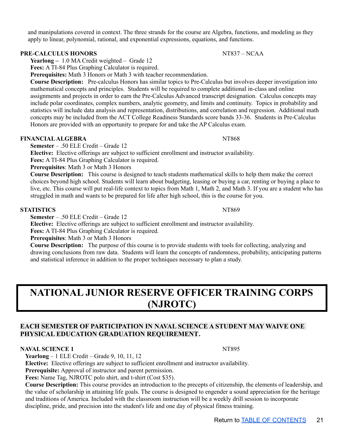and manipulations covered in context. The three strands for the course are Algebra, functions, and modeling as they apply to linear, polynomial, rational, and exponential expressions, equations, and functions.

#### **PRE-CALCULUS HONORS** NT837 – NCAA

**Yearlong –** 1.0 MA Credit weighted – Grade 12

**Fees:** A TI-84 Plus Graphing Calculator is required.

**Prerequisites:** Math 3 Honors or Math 3 with teacher recommendation.

**Course Description:** Pre-calculus Honors has similar topics to Pre-Calculus but involves deeper investigation into mathematical concepts and principles. Students will be required to complete additional in-class and online assignments and projects in order to earn the Pre-Calculus Advanced transcript designation. Calculus concepts may include polar coordinates, complex numbers, analytic geometry, and limits and continuity. Topics in probability and statistics will include data analysis and representation, distributions, and correlation and regression. Additional math concepts may be included from the ACT College Readiness Standards score bands 33-36. Students in Pre-Calculus Honors are provided with an opportunity to prepare for and take the AP Calculus exam.

#### **FINANCIAL ALGEBRA** NT868

**Semester** – .50 ELE Credit – Grade 12

**Elective:** Elective offerings are subject to sufficient enrollment and instructor availability.

**Fees:** A TI-84 Plus Graphing Calculator is required.

**Prerequisites**: Math 3 or Math 3 Honors

**Course Description:** This course is designed to teach students mathematical skills to help them make the correct choices beyond high school. Students will learn about budgeting, leasing or buying a car, renting or buying a place to live, etc. This course will put real-life context to topics from Math 1, Math 2, and Math 3. If you are a student who has struggled in math and wants to be prepared for life after high school, this is the course for you.

#### **STATISTICS** NT869

**Semester** – .50 ELE Credit – Grade 12

**Elective:** Elective offerings are subject to sufficient enrollment and instructor availability.

**Fees:** A TI-84 Plus Graphing Calculator is required.

**Prerequisites**: Math 3 or Math 3 Honors

**Course Description:** The purpose of this course is to provide students with tools for collecting, analyzing and drawing conclusions from raw data. Students will learn the concepts of randomness, probability, anticipating patterns and statistical inference in addition to the proper techniques necessary to plan a study.

## <span id="page-20-0"></span>**NATIONAL JUNIOR RESERVE OFFICER TRAINING CORPS (NJROTC)**

#### **EACH SEMESTER OF PARTICIPATION IN NAVAL SCIENCE A STUDENT MAY WAIVE ONE PHYSICAL EDUCATION GRADUATION REQUIREMENT.**

#### **NAVAL SCIENCE 1** NT895

**Yearlong** – 1 ELE Credit – Grade 9, 10, 11, 12

**Elective:** Elective offerings are subject to sufficient enrollment and instructor availability.

**Prerequisite:** Approval of instructor and parent permission.

**Fees:** Name Tag, NJROTC polo shirt, and t-shirt (Cost \$35).

**Course Description:** This course provides an introduction to the precepts of citizenship, the elements of leadership, and the value of scholarship in attaining life goals. The course is designed to engender a sound appreciation for the heritage and traditions of America. Included with the classroom instruction will be a weekly drill session to incorporate discipline, pride, and precision into the student's life and one day of physical fitness training.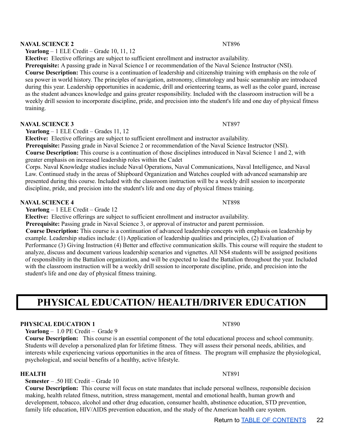#### **NAVAL SCIENCE 2** NT896

**Yearlong** – 1 ELE Credit – Grade 10, 11, 12

**Elective:** Elective offerings are subject to sufficient enrollment and instructor availability.

**Prerequisite:** A passing grade in Naval Science I or recommendation of the Naval Science Instructor (NSI).

**Course Description:** This course is a continuation of leadership and citizenship training with emphasis on the role of sea power in world history. The principles of navigation, astronomy, climatology and basic seamanship are introduced during this year. Leadership opportunities in academic, drill and orienteering teams, as well as the color guard, increase as the student advances knowledge and gains greater responsibility. Included with the classroom instruction will be a weekly drill session to incorporate discipline, pride, and precision into the student's life and one day of physical fitness training.

#### **NAVAL SCIENCE 3** NT897

**Yearlong** – 1 ELE Credit – Grades 11, 12

**Elective:** Elective offerings are subject to sufficient enrollment and instructor availability.

**Prerequisite:** Passing grade in Naval Science 2 or recommendation of the Naval Science Instructor (NSI). **Course Description:** This course is a continuation of those disciplines introduced in Naval Science 1 and 2, with greater emphasis on increased leadership roles within the Cadet

Corps. Naval Knowledge studies include Naval Operations, Naval Communications, Naval Intelligence, and Naval Law. Continued study in the areas of Shipboard Organization and Watches coupled with advanced seamanship are presented during this course. Included with the classroom instruction will be a weekly drill session to incorporate discipline, pride, and precision into the student's life and one day of physical fitness training.

#### **NAVAL SCIENCE 4** NT898

**Yearlong** – 1 ELE Credit – Grade 12

**Elective:** Elective offerings are subject to sufficient enrollment and instructor availability.

**Prerequisite:** Passing grade in Naval Science 3, or approval of instructor and parent permission.

**Course Description:** This course is a continuation of advanced leadership concepts with emphasis on leadership by example. Leadership studies include: (1) Application of leadership qualities and principles, (2) Evaluation of Performance (3) Giving Instruction (4) Better and effective communication skills. This course will require the student to analyze, discuss and document various leadership scenarios and vignettes. All NS4 students will be assigned positions of responsibility in the Battalion organization, and will be expected to lead the Battalion throughout the year. Included with the classroom instruction will be a weekly drill session to incorporate discipline, pride, and precision into the student's life and one day of physical fitness training.

## <span id="page-21-0"></span>**PHYSICAL EDUCATION/ HEALTH/DRIVER EDUCATION**

#### **PHYSICAL EDUCATION 1** NT890

**Yearlong** – 1.0 PE Credit – Grade 9

**Course Description:** This course is an essential component of the total educational process and school community. Students will develop a personalized plan for lifetime fitness. They will assess their personal needs, abilities, and interests while experiencing various opportunities in the area of fitness. The program will emphasize the physiological, psychological, and social benefits of a healthy, active lifestyle.

#### **HEALTH** NT891

#### **Semester** – .50 HE Credit – Grade 10

**Course Description:** This course will focus on state mandates that include personal wellness, responsible decision making, health related fitness, nutrition, stress management, mental and emotional health, human growth and development, tobacco, alcohol and other drug education, consumer health, abstinence education, STD prevention, family life education, HIV/AIDS prevention education, and the study of the American health care system.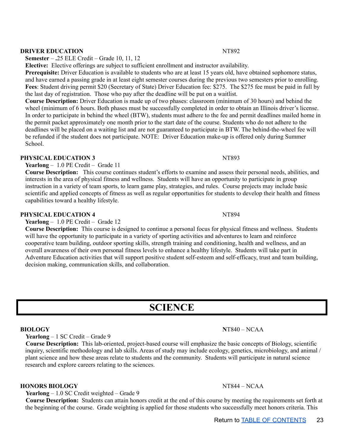### Return to TABLE OF [CONTENTS](#page-1-0) 23

#### **DRIVER EDUCATION** NT892

**Semester** – **.**25 ELE Credit – Grade 10, 11, 12

**Elective:** Elective offerings are subject to sufficient enrollment and instructor availability.

**Prerequisite:** Driver Education is available to students who are at least 15 years old, have obtained sophomore status, and have earned a passing grade in at least eight semester courses during the previous two semesters prior to enrolling. **Fees**: Student driving permit \$20 (Secretary of State) Driver Education fee: \$275. The \$275 fee must be paid in full by the last day of registration. Those who pay after the deadline will be put on a waitlist.

**Course Description:** Driver Education is made up of two phases: classroom (minimum of 30 hours) and behind the wheel (minimum of 6 hours. Both phases must be successfully completed in order to obtain an Illinois driver's license. In order to participate in behind the wheel (BTW), students must adhere to the fee and permit deadlines mailed home in the permit packet approximately one month prior to the start date of the course. Students who do not adhere to the deadlines will be placed on a waiting list and are not guaranteed to participate in BTW. The behind-the-wheel fee will be refunded if the student does not participate. NOTE: Driver Education make-up is offered only during Summer School<sup>.</sup>

#### **PHYSICAL EDUCATION 3** NT893

**Yearlong** – 1.0 PE Credit – Grade 11

**Course Description:** This course continues student's efforts to examine and assess their personal needs, abilities, and interests in the area of physical fitness and wellness. Students will have an opportunity to participate in group instruction in a variety of team sports, to learn game play, strategies, and rules. Course projects may include basic scientific and applied concepts of fitness as well as regular opportunities for students to develop their health and fitness capabilities toward a healthy lifestyle.

#### **PHYSICAL EDUCATION 4** NT894

**Yearlong** – 1.0 PE Credit – Grade 12

**Course Description:** This course is designed to continue a personal focus for physical fitness and wellness. Students will have the opportunity to participate in a variety of sporting activities and adventures to learn and reinforce cooperative team building, outdoor sporting skills, strength training and conditioning, health and wellness, and an overall awareness of their own personal fitness levels to enhance a healthy lifestyle. Students will take part in Adventure Education activities that will support positive student self-esteem and self-efficacy, trust and team building, decision making, communication skills, and collaboration.

## **SCIENCE**

**Yearlong** – 1 SC Credit – Grade 9

**Course Description:** This lab-oriented, project-based course will emphasize the basic concepts of Biology, scientific inquiry, scientific methodology and lab skills. Areas of study may include ecology, genetics, microbiology, and animal / plant science and how these areas relate to students and the community. Students will participate in natural science research and explore careers relating to the sciences.

#### **HONORS BIOLOGY** NT844 – NCAA

**Yearlong** – 1.0 SC Credit weighted – Grade 9

**Course Description:** Students can attain honors credit at the end of this course by meeting the requirements set forth at the beginning of the course. Grade weighting is applied for those students who successfully meet honors criteria. This

#### <span id="page-22-0"></span>**BIOLOGY N**T840 – NCAA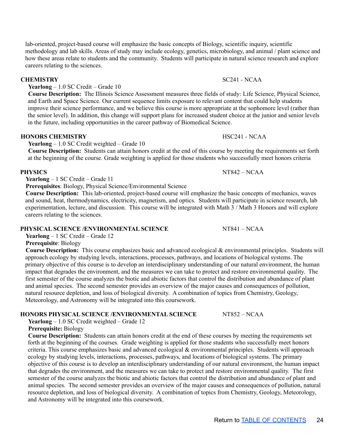lab-oriented, project-based course will emphasize the basic concepts of Biology, scientific inquiry, scientific methodology and lab skills. Areas of study may include ecology, genetics, microbiology, and animal / plant science and how these areas relate to students and the community. Students will participate in natural science research and explore careers relating to the sciences.

**Yearlong** – 1.0 SC Credit – Grade 10

**Course Description:** The Illinois Science Assessment measures three fields of study: Life Science, Physical Science, and Earth and Space Science. Our current sequence limits exposure to relevant content that could help students improve their science performance, and we believe this course is more appropriate at the sophomore level (rather than the senior level). In addition, this change will support plans for increased student choice at the junior and senior levels in the future, including opportunities in the career pathway of Biomedical Science.

#### **HONORS CHEMISTRY** HSC241 - NCAA

**Yearlong** – 1.0 SC Credit weighted – Grade 10

**Course Description:** Students can attain honors credit at the end of this course by meeting the requirements set forth at the beginning of the course. Grade weighting is applied for those students who successfully meet honors criteria

#### **PHYSICS** NT842 – NCAA

**Yearlong** – 1 SC Credit – Grade 11

**Prerequisites**: Biology, Physical Science/Environmental Science

**Course Description:** This lab-oriented, project-based course will emphasize the basic concepts of mechanics, waves and sound, heat, thermodynamics, electricity, magnetism, and optics. Students will participate in science research, lab experimentation, lecture, and discussion. This course will be integrated with Math 3 / Math 3 Honors and will explore careers relating to the sciences.

#### **PHYSICAL SCIENCE /ENVIRONMENTAL SCIENCE** NT841 – NCAA

**Yearlong** – 1 SC Credit – Grade 12

**Prerequisite**: Biology

**Course Description:** This course emphasizes basic and advanced ecological & environmental principles. Students will approach ecology by studying levels, interactions, processes, pathways, and locations of biological systems. The primary objective of this course is to develop an interdisciplinary understanding of our natural environment, the human impact that degrades the environment, and the measures we can take to protect and restore environmental quality. The first semester of the course analyzes the biotic and abiotic factors that control the distribution and abundance of plant and animal species. The second semester provides an overview of the major causes and consequences of pollution, natural resource depletion, and loss of biological diversity. A combination of topics from Chemistry, Geology, Meteorology, and Astronomy will be integrated into this coursework.

#### **HONORS PHYSICAL SCIENCE /ENVIRONMENTAL SCIENCE** NT852 – NCAA

**Yearlong** – 1.0 SC Credit weighted – Grade 12

**Prerequisite:** Biology

**Course Description:** Students can attain honors credit at the end of these courses by meeting the requirements set forth at the beginning of the courses. Grade weighting is applied for those students who successfully meet honors criteria. This course emphasizes basic and advanced ecological & environmental principles. Students will approach ecology by studying levels, interactions, processes, pathways, and locations of biological systems. The primary objective of this course is to develop an interdisciplinary understanding of our natural environment, the human impact that degrades the environment, and the measures we can take to protect and restore environmental quality. The first semester of the course analyzes the biotic and abiotic factors that control the distribution and abundance of plant and animal species. The second semester provides an overview of the major causes and consequences of pollution, natural resource depletion, and loss of biological diversity. A combination of topics from Chemistry, Geology, Meteorology, and Astronomy will be integrated into this coursework.

#### **CHEMISTRY** SC241 - NCAA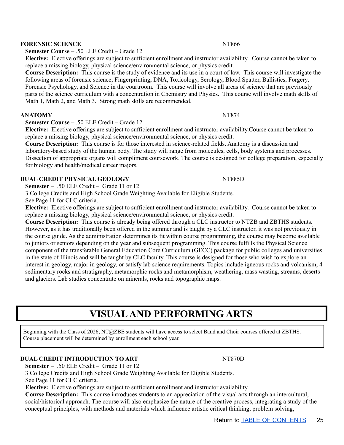#### **FORENSIC SCIENCE** NT866

**Semester Course** – .50 ELE Credit – Grade 12

**Elective:** Elective offerings are subject to sufficient enrollment and instructor availability. Course cannot be taken to replace a missing biology, physical science/environmental science, or physics credit.

**Course Description:** This course is the study of evidence and its use in a court of law. This course will investigate the following areas of forensic science; Fingerprinting, DNA, Toxicology, Serology, Blood Spatter, Ballistics, Forgery, Forensic Psychology, and Science in the courtroom. This course will involve all areas of science that are previously parts of the science curriculum with a concentration in Chemistry and Physics. This course will involve math skills of Math 1, Math 2, and Math 3. Strong math skills are recommended.

#### **ANATOMY** NT874

**Semester Course** – .50 ELE Credit – Grade 12

**Elective:** Elective offerings are subject to sufficient enrollment and instructor availability.Course cannot be taken to replace a missing biology, physical science/environmental science, or physics credit.

**Course Description:** This course is for those interested in science-related fields. Anatomy is a discussion and laboratory-based study of the human body. The study will range from molecules, cells, body systems and processes. Dissection of appropriate organs will compliment coursework. The course is designed for college preparation, especially for biology and health/medical career majors.

#### **DUAL CREDIT PHYSICAL GEOLOGY** NT885D

**Semester** – .50 ELE Credit – Grade 11 or 12

3 College Credits and High School Grade Weighting Available for Eligible Students.

See Page 11 for CLC criteria.

**Elective:** Elective offerings are subject to sufficient enrollment and instructor availability. Course cannot be taken to replace a missing biology, physical science/environmental science, or physics credit.

**Course Description:** This course is already being offered through a CLC instructor to NTZB and ZBTHS students. However, as it has traditionally been offered in the summer and is taught by a CLC instructor, it was not previously in the course guide. As the administration determines its fit within course programming, the course may become available to juniors or seniors depending on the year and subsequent programming. This course fulfills the Physical Science component of the transferable General Education Core Curriculum (GECC) package for public colleges and universities in the state of Illinois and will be taught by CLC faculty. This course is designed for those who wish to explore an interest in geology, major in geology, or satisfy lab science requirements. Topics include igneous rocks and volcanism, 4 sedimentary rocks and stratigraphy, metamorphic rocks and metamorphism, weathering, mass wasting, streams, deserts and glaciers. Lab studies concentrate on minerals, rocks and topographic maps.

## **VISUALAND PERFORMING ARTS**

<span id="page-24-0"></span>Beginning with the Class of 2026, NT@ZBE students will have access to select Band and Choir courses offered at ZBTHS. Course placement will be determined by enrollment each school year.

#### **DUAL CREDIT INTRODUCTION TO ART** NT870D

**Semester** – .50 ELE Credit – Grade 11 or 12

3 College Credits and High School Grade Weighting Available for Eligible Students.

See Page 11 for CLC criteria.

**Elective:** Elective offerings are subject to sufficient enrollment and instructor availability.

**Course Description:** This course introduces students to an appreciation of the visual arts through an intercultural, social/historical approach. The course will also emphasize the nature of the creative process, integrating a study of the conceptual principles, with methods and materials which influence artistic critical thinking, problem solving,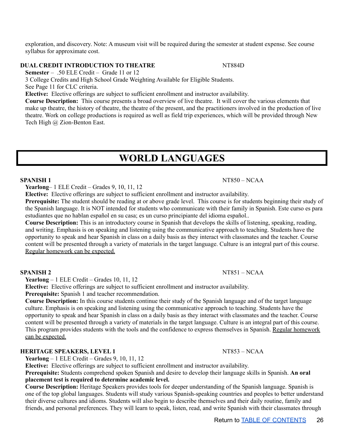exploration, and discovery. Note: A museum visit will be required during the semester at student expense. See course syllabus for approximate cost.

#### **DUAL CREDIT INTRODUCTION TO THEATRE** NT884D

**Semester** – .50 ELE Credit – Grade 11 or 12

3 College Credits and High School Grade Weighting Available for Eligible Students.

See Page 11 for CLC criteria.

**Elective:** Elective offerings are subject to sufficient enrollment and instructor availability.

**Course Description:** This course presents a broad overview of live theatre. It will cover the various elements that make up theatre, the history of theatre, the theatre of the present, and the practitioners involved in the production of live theatre. Work on college productions is required as well as field trip experiences, which will be provided through New Tech High @ Zion-Benton East.

### **WORLD LANGUAGES**

#### <span id="page-25-0"></span>**SPANISH 1** NT850 – NCAA

**Yearlong**– 1 ELE Credit – Grades 9, 10, 11, 12

**Elective:** Elective offerings are subject to sufficient enrollment and instructor availability.

**Prerequisite:** The student should be reading at or above grade level. This course is for students beginning their study of the Spanish language. It is NOT intended for students who communicate with their family in Spanish. Este curso es para estudiantes que no hablan español en su casa; es un curso principiante del idioma español..

**Course Description:** This is an introductory course in Spanish that develops the skills of listening, speaking, reading, and writing. Emphasis is on speaking and listening using the communicative approach to teaching. Students have the opportunity to speak and hear Spanish in class on a daily basis as they interact with classmates and the teacher. Course content will be presented through a variety of materials in the target language. Culture is an integral part of this course. Regular homework can be expected.

**Yearlong** – 1 ELE Credit – Grades 10, 11, 12

**Elective:** Elective offerings are subject to sufficient enrollment and instructor availability.

**Prerequisite:** Spanish 1 and teacher recommendation.

**Course Description:** In this course students continue their study of the Spanish language and of the target language culture. Emphasis is on speaking and listening using the communicative approach to teaching. Students have the opportunity to speak and hear Spanish in class on a daily basis as they interact with classmates and the teacher. Course content will be presented through a variety of materials in the target language. Culture is an integral part of this course. This program provides students with the tools and the confidence to express themselves in Spanish. Regular homework can be expected.

#### **HERITAGE SPEAKERS, LEVEL 1** NT853 – NCAA

**Yearlong** – 1 ELE Credit – Grades 9, 10, 11, 12

**Elective:** Elective offerings are subject to sufficient enrollment and instructor availability. **Prerequisite:** Students comprehend spoken Spanish and desire to develop their language skills in Spanish. **An oral**

#### **placement test is required to determine academic level.**

**Course Description:** Heritage Speakers provides tools for deeper understanding of the Spanish language. Spanish is one of the top global languages. Students will study various Spanish-speaking countries and peoples to better understand their diverse cultures and idioms. Students will also begin to describe themselves and their daily routine, family and friends, and personal preferences. They will learn to speak, listen, read, and write Spanish with their classmates through

#### **SPANISH 2** NT851 – NCAA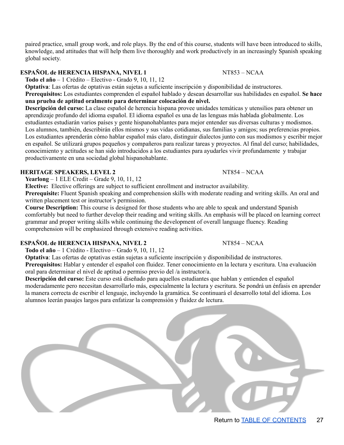paired practice, small group work, and role plays. By the end of this course, students will have been introduced to skills, knowledge, and attitudes that will help them live thoroughly and work productively in an increasingly Spanish speaking global society.

### **ESPAÑOL de HERENCIA HISPANA, NIVEL 1** NT853 – NCAA

**Todo el año** – 1 Crédito – Electivo - Grado 9, 10, 11, 12

**Optativa**: Las ofertas de optativas están sujetas a suficiente inscripción y disponibilidad de instructores.

**Prerequisitos:** Los estudiantes comprenden el español hablado y desean desarrollar sus habilidades en español. **Se hace una prueba de aptitud oralmente para determinar colocación de nivel.**

**Descripción del curso:** La clase español de herencia hispana provee unidades temáticas y utensilios para obtener un aprendizaje profundo del idioma español. El idioma español es una de las lenguas más hablada globalmente. Los estudiantes estudiarán varios países y gente hispanohablantes para mejor entender sus diversas culturas y modismos. Los alumnos, también, describirán ellos mismos y sus vidas cotidianas, sus familias y amigos; sus preferencias propios. Los estudiantes aprenderán cómo hablar español más claro, distinguir dialectos junto con sus modismos y escribir mejor en español. Se utilizará grupos pequeños y compañeros para realizar tareas y proyectos. Al final del curso; habilidades, conocimiento y actitudes se han sido introducidos a los estudiantes para ayudarles vivir profundamente y trabajar productivamente en una sociedad global hispanohablante.

### **HERITAGE SPEAKERS, LEVEL 2** NT854 – NCAA

**Yearlong** – 1 ELE Credit – Grade 9, 10, 11, 12

**Elective:** Elective offerings are subject to sufficient enrollment and instructor availability.

**Prerequisite:** Fluent Spanish speaking and comprehension skills with moderate reading and writing skills. An oral and written placement test or instructor's permission.

**Course Description:** This course is designed for those students who are able to speak and understand Spanish comfortably but need to further develop their reading and writing skills. An emphasis will be placed on learning correct grammar and proper writing skills while continuing the development of overall language fluency. Reading comprehension will be emphasized through extensive reading activities.

### **ESPAÑOL de HERENCIA HISPANA, NIVEL 2** NT854 – NCAA

**Todo el año** – 1 Crédito - Electivo – Grado 9, 10, 11, 12

**Optativa**: Las ofertas de optativas están sujetas a suficiente inscripción y disponibilidad de instructores. **Prerequisitos:** Hablar y entender el español con fluidez. Tener conocimiento en la lectura y escritura. Una evaluación oral para determinar el nivel de aptitud o permiso previo del /a instructor/a.

**Descripción del curso:** Este curso está diseñado para aquellos estudiantes que hablan y entienden el español moderadamente pero necesitan desarrollarlo más, especialmente la lectura y escritura. Se pondrá un énfasis en aprender la manera correcta de escribir el lenguaje, incluyendo la gramática. Se continuará el desarrollo total del idioma. Los alumnos leerán pasajes largos para enfatizar la comprensión y fluidez de lectura.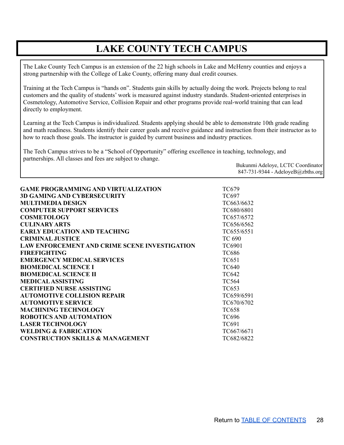## **LAKE COUNTY TECH CAMPUS**

<span id="page-27-0"></span>The Lake County Tech Campus is an extension of the 22 high schools in Lake and McHenry counties and enjoys a strong partnership with the College of Lake County, offering many dual credit courses.

Training at the Tech Campus is "hands on". Students gain skills by actually doing the work. Projects belong to real customers and the quality of students' work is measured against industry standards. Student-oriented enterprises in Cosmetology, Automotive Service, Collision Repair and other programs provide real-world training that can lead directly to employment.

Learning at the Tech Campus is individualized. Students applying should be able to demonstrate 10th grade reading and math readiness. Students identify their career goals and receive guidance and instruction from their instructor as to how to reach those goals. The instructor is guided by current business and industry practices.

The Tech Campus strives to be a "School of Opportunity" offering excellence in teaching, technology, and partnerships. All classes and fees are subject to change.

> Bukunmi Adeloye, LCTC Coordinator 847-731-9344 - AdeloyeB@zbths.org

| <b>GAME PROGRAMMING AND VIRTUALIZATION</b>           | TC679         |
|------------------------------------------------------|---------------|
| <b>3D GAMING AND CYBERSECURITY</b>                   | TC697         |
| <b>MULTIMEDIA DESIGN</b>                             | TC663/6632    |
| <b>COMPUTER SUPPORT SERVICES</b>                     | TC680/6801    |
| <b>COSMETOLOGY</b>                                   | TC657/6572    |
| <b>CULINARY ARTS</b>                                 | TC656/6562    |
| <b>EARLY EDUCATION AND TEACHING</b>                  | TC655/6551    |
| <b>CRIMINAL JUSTICE</b>                              | <b>TC 690</b> |
| <b>LAW ENFORCEMENT AND CRIME SCENE INVESTIGATION</b> | <b>TC6901</b> |
| <b>FIREFIGHTING</b>                                  | TC686         |
| <b>EMERGENCY MEDICAL SERVICES</b>                    | TC651         |
| <b>BIOMEDICAL SCIENCE I</b>                          | <b>TC640</b>  |
| <b>BIOMEDICAL SCIENCE II</b>                         | <b>TC642</b>  |
| <b>MEDICAL ASSISTING</b>                             | <b>TC564</b>  |
| <b>CERTIFIED NURSE ASSISTING</b>                     | TC653         |
| <b>AUTOMOTIVE COLLISION REPAIR</b>                   | TC659/6591    |
| <b>AUTOMOTIVE SERVICE</b>                            | TC670/6702    |
| <b>MACHINING TECHNOLOGY</b>                          | <b>TC658</b>  |
| <b>ROBOTICS AND AUTOMATION</b>                       | TC696         |
| <b>LASER TECHNOLOGY</b>                              | TC691         |
| <b>WELDING &amp; FABRICATION</b>                     | TC667/6671    |
| <b>CONSTRUCTION SKILLS &amp; MANAGEMENT</b>          | TC682/6822    |
|                                                      |               |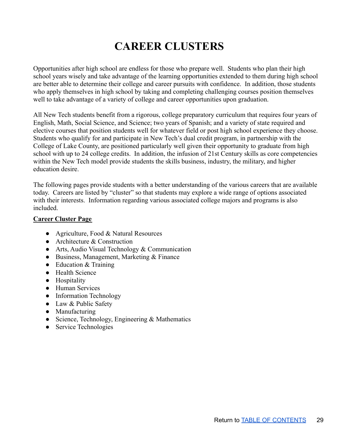## **CAREER CLUSTERS**

<span id="page-28-0"></span>Opportunities after high school are endless for those who prepare well. Students who plan their high school years wisely and take advantage of the learning opportunities extended to them during high school are better able to determine their college and career pursuits with confidence. In addition, those students who apply themselves in high school by taking and completing challenging courses position themselves well to take advantage of a variety of college and career opportunities upon graduation.

All New Tech students benefit from a rigorous, college preparatory curriculum that requires four years of English, Math, Social Science, and Science; two years of Spanish; and a variety of state required and elective courses that position students well for whatever field or post high school experience they choose. Students who qualify for and participate in New Tech's dual credit program, in partnership with the College of Lake County, are positioned particularly well given their opportunity to graduate from high school with up to 24 college credits. In addition, the infusion of 21st Century skills as core competencies within the New Tech model provide students the skills business, industry, the military, and higher education desire.

The following pages provide students with a better understanding of the various careers that are available today. Careers are listed by "cluster" so that students may explore a wide range of options associated with their interests. Information regarding various associated college majors and programs is also included.

#### **Career Cluster Page**

- Agriculture, Food & Natural Resources
- Architecture & Construction
- Arts, Audio Visual Technology & Communication
- Business, Management, Marketing & Finance
- Education & Training
- Health Science
- Hospitality
- Human Services
- Information Technology
- Law & Public Safety
- Manufacturing
- Science, Technology, Engineering & Mathematics
- Service Technologies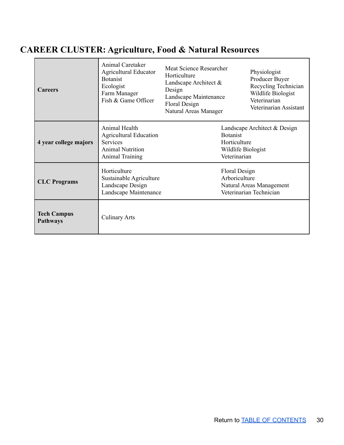## <span id="page-29-0"></span>**CAREER CLUSTER: Agriculture, Food & Natural Resources**

| <b>Careers</b>                        | Animal Caretaker<br><b>Agricultural Educator</b><br><b>Botanist</b><br>Ecologist<br>Farm Manager<br>Fish & Game Officer | Meat Science Researcher<br>Horticulture<br>Landscape Architect &<br>Design<br>Landscape Maintenance<br>Floral Design<br>Natural Areas Manager | Physiologist<br>Producer Buyer<br>Recycling Technician<br>Wildlife Biologist<br>Veterinarian<br>Veterinarian Assistant |
|---------------------------------------|-------------------------------------------------------------------------------------------------------------------------|-----------------------------------------------------------------------------------------------------------------------------------------------|------------------------------------------------------------------------------------------------------------------------|
| 4 year college majors                 | Animal Health<br><b>Agricultural Education</b><br><b>Services</b><br><b>Animal Nutrition</b><br><b>Animal Training</b>  |                                                                                                                                               | Landscape Architect & Design<br><b>Botanist</b><br>Horticulture<br>Wildlife Biologist<br>Veterinarian                  |
| <b>CLC</b> Programs                   | Horticulture<br>Sustainable Agriculture<br>Landscape Design<br>Landscape Maintenance                                    |                                                                                                                                               | Floral Design<br>Arboriculture<br>Natural Areas Management<br>Veterinarian Technician                                  |
| <b>Tech Campus</b><br><b>Pathways</b> | <b>Culinary Arts</b>                                                                                                    |                                                                                                                                               |                                                                                                                        |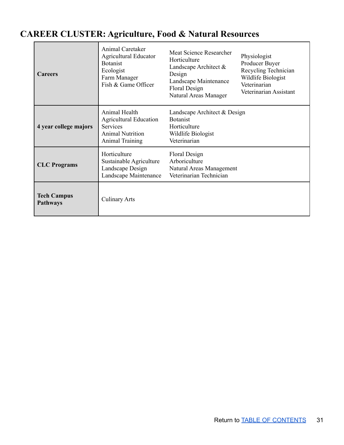## <span id="page-30-0"></span>**CAREER CLUSTER: Agriculture, Food & Natural Resources**

 $\blacksquare$ 

| <b>Careers</b>                        | Animal Caretaker<br><b>Agricultural Educator</b><br><b>Botanist</b><br>Ecologist<br>Farm Manager<br>Fish & Game Officer | Meat Science Researcher<br>Horticulture<br>Landscape Architect $\&$<br>Design<br>Landscape Maintenance<br>Floral Design<br>Natural Areas Manager | Physiologist<br>Producer Buyer<br>Recycling Technician<br>Wildlife Biologist<br>Veterinarian<br>Veterinarian Assistant |
|---------------------------------------|-------------------------------------------------------------------------------------------------------------------------|--------------------------------------------------------------------------------------------------------------------------------------------------|------------------------------------------------------------------------------------------------------------------------|
| 4 year college majors                 | Animal Health<br><b>Agricultural Education</b><br>Services<br><b>Animal Nutrition</b><br><b>Animal Training</b>         | Landscape Architect & Design<br><b>Botanist</b><br>Horticulture<br>Wildlife Biologist<br>Veterinarian                                            |                                                                                                                        |
| <b>CLC</b> Programs                   | Horticulture<br>Sustainable Agriculture<br>Landscape Design<br>Landscape Maintenance                                    | Floral Design<br>Arboriculture<br>Natural Areas Management<br>Veterinarian Technician                                                            |                                                                                                                        |
| <b>Tech Campus</b><br><b>Pathways</b> | <b>Culinary Arts</b>                                                                                                    |                                                                                                                                                  |                                                                                                                        |

٦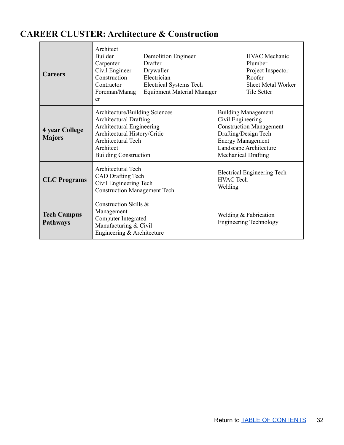## <span id="page-31-0"></span>**CAREER CLUSTER: Architecture & Construction**

 $\blacksquare$ 

| <b>Careers</b>                         | Architect<br>Builder<br>Carpenter<br>Civil Engineer<br>Construction<br>Contractor<br>Foreman/Manag<br>er                                                                                        | <b>Demolition Engineer</b><br>Drafter<br>Drywaller<br>Electrician<br><b>Electrical Systems Tech</b><br><b>Equipment Material Manager</b> | <b>HVAC</b> Mechanic<br>Plumber<br>Project Inspector<br>Roofer<br><b>Sheet Metal Worker</b><br><b>Tile Setter</b>                                                                             |  |
|----------------------------------------|-------------------------------------------------------------------------------------------------------------------------------------------------------------------------------------------------|------------------------------------------------------------------------------------------------------------------------------------------|-----------------------------------------------------------------------------------------------------------------------------------------------------------------------------------------------|--|
| <b>4 year College</b><br><b>Majors</b> | Architecture/Building Sciences<br><b>Architectural Drafting</b><br>Architectural Engineering<br>Architectural History/Critic<br>Architectural Tech<br>Architect<br><b>Building Construction</b> |                                                                                                                                          | <b>Building Management</b><br>Civil Engineering<br><b>Construction Management</b><br>Drafting/Design Tech<br><b>Energy Management</b><br>Landscape Architecture<br><b>Mechanical Drafting</b> |  |
| <b>CLC</b> Programs                    | <b>Architectural Tech</b><br><b>CAD Drafting Tech</b><br>Civil Engineering Tech<br><b>Construction Management Tech</b>                                                                          |                                                                                                                                          | Electrical Engineering Tech<br><b>HVAC</b> Tech<br>Welding                                                                                                                                    |  |
| <b>Tech Campus</b><br><b>Pathways</b>  | Construction Skills &<br>Management<br>Computer Integrated<br>Manufacturing & Civil<br>Engineering & Architecture                                                                               |                                                                                                                                          | Welding & Fabrication<br><b>Engineering Technology</b>                                                                                                                                        |  |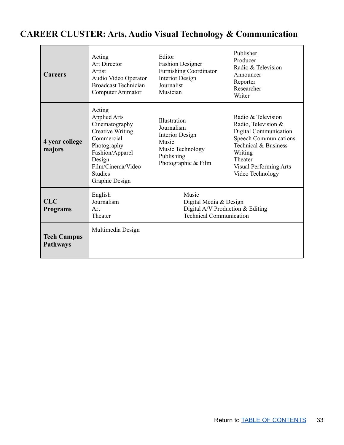## <span id="page-32-0"></span>**CAREER CLUSTER: Arts, Audio Visual Technology & Communication**

| <b>Careers</b>                        | Acting<br><b>Art Director</b><br>Artist<br>Audio Video Operator<br><b>Broadcast Technician</b><br>Computer Animator                                                                           | Editor<br><b>Fashion Designer</b><br><b>Furnishing Coordinator</b><br><b>Interior Design</b><br>Journalist<br>Musician | Publisher<br>Producer<br>Radio & Television<br>Announcer<br>Reporter<br>Researcher<br>Writer                                                                                                          |
|---------------------------------------|-----------------------------------------------------------------------------------------------------------------------------------------------------------------------------------------------|------------------------------------------------------------------------------------------------------------------------|-------------------------------------------------------------------------------------------------------------------------------------------------------------------------------------------------------|
| 4 year college<br>majors              | Acting<br><b>Applied Arts</b><br>Cinematography<br><b>Creative Writing</b><br>Commercial<br>Photography<br>Fashion/Apparel<br>Design<br>Film/Cinema/Video<br><b>Studies</b><br>Graphic Design | Illustration<br>Journalism<br>Interior Design<br>Music<br>Music Technology<br>Publishing<br>Photographic & Film        | Radio & Television<br>Radio, Television &<br>Digital Communication<br><b>Speech Communications</b><br>Technical & Business<br>Writing<br>Theater<br><b>Visual Performing Arts</b><br>Video Technology |
| <b>CLC</b><br><b>Programs</b>         | English<br>Journalism<br>Art<br>Theater                                                                                                                                                       | Music<br>Digital Media & Design<br>Digital A/V Production $&$ Editing<br><b>Technical Communication</b>                |                                                                                                                                                                                                       |
| <b>Tech Campus</b><br><b>Pathways</b> | Multimedia Design                                                                                                                                                                             |                                                                                                                        |                                                                                                                                                                                                       |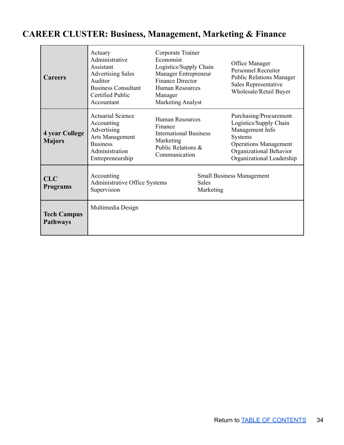## <span id="page-33-0"></span>**CAREER CLUSTER: Business, Management, Marketing & Finance**

| <b>Careers</b>                         | Actuary<br>Administrative<br>Assistant<br><b>Advertising Sales</b><br>Auditor<br><b>Business Consultant</b><br><b>Certified Public</b><br>Accountant | Corporate Trainer<br>Economist<br>Logistics/Supply Chain<br>Manager Entrepreneur<br><b>Finance Director</b><br><b>Human Resources</b><br>Manager<br><b>Marketing Analyst</b> |                           | Office Manager<br><b>Personnel Recruiter</b><br><b>Public Relations Manager</b><br>Sales Representative<br>Wholesale/Retail Buyer                                      |
|----------------------------------------|------------------------------------------------------------------------------------------------------------------------------------------------------|------------------------------------------------------------------------------------------------------------------------------------------------------------------------------|---------------------------|------------------------------------------------------------------------------------------------------------------------------------------------------------------------|
| <b>4 year College</b><br><b>Majors</b> | <b>Actuarial Science</b><br>Accounting<br>Advertising<br>Arts Management<br><b>Business</b><br>Administration<br>Entrepreneurship                    | <b>Human Resources</b><br>Finance<br><b>International Business</b><br>Marketing<br>Public Relations &<br>Communication                                                       |                           | Purchasing/Procurement<br>Logistics/Supply Chain<br>Management Info<br>Systems<br><b>Operations Management</b><br>Organizational Behavior<br>Organizational Leadership |
| <b>CLC</b><br><b>Programs</b>          | Accounting<br>Administrative Office Systems<br>Supervision                                                                                           |                                                                                                                                                                              | <b>Sales</b><br>Marketing | <b>Small Business Management</b>                                                                                                                                       |
| <b>Tech Campus</b><br><b>Pathways</b>  | Multimedia Design                                                                                                                                    |                                                                                                                                                                              |                           |                                                                                                                                                                        |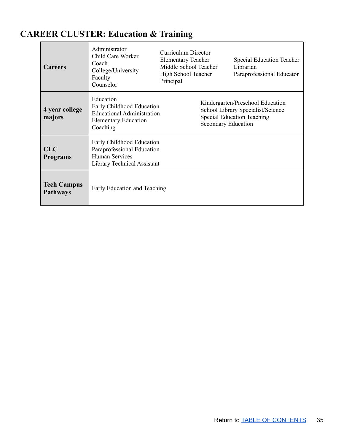## <span id="page-34-0"></span>**CAREER CLUSTER: Education & Training**

| <b>Careers</b>                        | Administrator<br>Child Care Worker<br>Coach<br>College/University<br>Faculty<br>Counselor                              | Curriculum Director<br><b>Elementary Teacher</b><br>Middle School Teacher<br>High School Teacher<br>Principal |                     | Special Education Teacher<br>Librarian<br>Paraprofessional Educator                                        |
|---------------------------------------|------------------------------------------------------------------------------------------------------------------------|---------------------------------------------------------------------------------------------------------------|---------------------|------------------------------------------------------------------------------------------------------------|
| 4 year college<br>majors              | Education<br>Early Childhood Education<br><b>Educational Administration</b><br><b>Elementary Education</b><br>Coaching |                                                                                                               | Secondary Education | Kindergarten/Preschool Education<br>School Library Specialist/Science<br><b>Special Education Teaching</b> |
| <b>CLC</b><br><b>Programs</b>         | Early Childhood Education<br>Paraprofessional Education<br><b>Human Services</b><br>Library Technical Assistant        |                                                                                                               |                     |                                                                                                            |
| <b>Tech Campus</b><br><b>Pathways</b> | Early Education and Teaching                                                                                           |                                                                                                               |                     |                                                                                                            |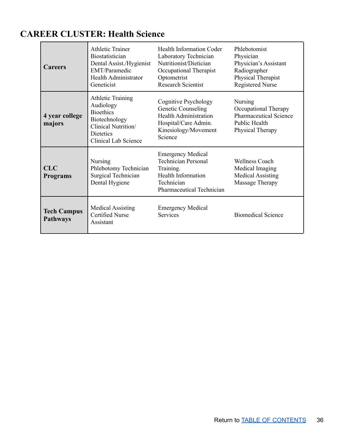### <span id="page-35-0"></span>**CAREER CLUSTER: Health Science**

| <b>Careers</b>                        | <b>Athletic Trainer</b><br><b>Biostatistician</b><br>Dental Assist./Hygienist<br>EMT/Paramedic<br>Health Administrator<br>Geneticist          | <b>Health Information Coder</b><br>Laboratory Technician<br>Nutritionist/Dietician<br>Occupational Therapist<br>Optometrist<br><b>Research Scientist</b> | Phlebotomist<br>Physician<br>Physician's Assistant<br>Radiographer<br>Physical Therapist<br><b>Registered Nurse</b> |
|---------------------------------------|-----------------------------------------------------------------------------------------------------------------------------------------------|----------------------------------------------------------------------------------------------------------------------------------------------------------|---------------------------------------------------------------------------------------------------------------------|
| 4 year college<br>majors              | <b>Athletic Training</b><br>Audiology<br><b>Bioethics</b><br>Biotechnology<br>Clinical Nutrition/<br>Dietetics<br><b>Clinical Lab Science</b> | Cognitive Psychology<br>Genetic Counseling<br><b>Health Administration</b><br>Hospital/Care Admin.<br>Kinesiology/Movement<br>Science                    | <b>Nursing</b><br>Occupational Therapy<br><b>Pharmaceutical Science</b><br>Public Health<br>Physical Therapy        |
| <b>CLC</b><br><b>Programs</b>         | <b>Nursing</b><br>Phlebotomy Technician<br>Surgical Technician<br>Dental Hygiene                                                              | <b>Emergency Medical</b><br><b>Technician Personal</b><br>Training.<br>Health Information<br>Technician<br>Pharmaceutical Technician                     | <b>Wellness Coach</b><br>Medical Imaging<br><b>Medical Assisting</b><br>Massage Therapy                             |
| <b>Tech Campus</b><br><b>Pathways</b> | <b>Medical Assisting</b><br><b>Certified Nurse</b><br>Assistant                                                                               | <b>Emergency Medical</b><br><b>Services</b>                                                                                                              | <b>Biomedical Science</b>                                                                                           |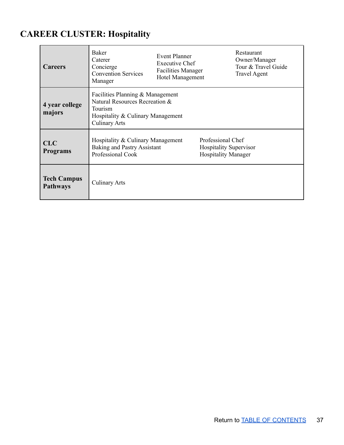## <span id="page-36-0"></span>**CAREER CLUSTER: Hospitality**

| <b>Careers</b>                        | Baker<br>Caterer<br>Concierge<br><b>Convention Services</b><br>Manager                                                                     | <b>Event Planner</b><br><b>Executive Chef</b><br><b>Facilities Manager</b><br>Hotel Management |                                                                                  | Restaurant<br>Owner/Manager<br>Tour & Travel Guide<br><b>Travel Agent</b> |
|---------------------------------------|--------------------------------------------------------------------------------------------------------------------------------------------|------------------------------------------------------------------------------------------------|----------------------------------------------------------------------------------|---------------------------------------------------------------------------|
| 4 year college<br>majors              | Facilities Planning & Management<br>Natural Resources Recreation &<br>Tourism<br>Hospitality & Culinary Management<br><b>Culinary Arts</b> |                                                                                                |                                                                                  |                                                                           |
| <b>CLC</b><br><b>Programs</b>         | Hospitality & Culinary Management<br><b>Baking and Pastry Assistant</b><br>Professional Cook                                               |                                                                                                | Professional Chef<br><b>Hospitality Supervisor</b><br><b>Hospitality Manager</b> |                                                                           |
| <b>Tech Campus</b><br><b>Pathways</b> | <b>Culinary Arts</b>                                                                                                                       |                                                                                                |                                                                                  |                                                                           |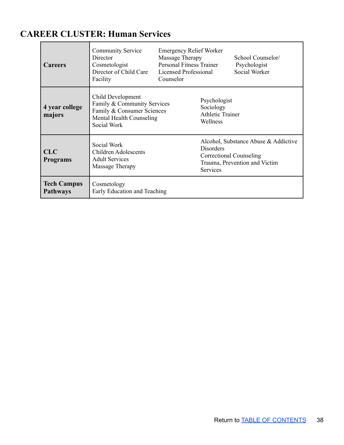## <span id="page-37-0"></span>**CAREER CLUSTER: Human Services**

 $\overline{a}$ 

| <b>Careers</b>                        | <b>Community Service</b><br>Director<br>Cosmetologist<br>Director of Child Care<br>Facility                               | <b>Emergency Relief Worker</b><br>Massage Therapy<br><b>Personal Fitness Trainer</b><br>Licensed Professional<br>Counselor |                                                                                                                                                | School Counselor/<br>Psychologist<br>Social Worker |
|---------------------------------------|---------------------------------------------------------------------------------------------------------------------------|----------------------------------------------------------------------------------------------------------------------------|------------------------------------------------------------------------------------------------------------------------------------------------|----------------------------------------------------|
| 4 year college<br>majors              | Child Development<br>Family & Community Services<br>Family & Consumer Sciences<br>Mental Health Counseling<br>Social Work |                                                                                                                            | Psychologist<br>Sociology<br><b>Athletic Trainer</b><br>Wellness                                                                               |                                                    |
| <b>CLC</b><br><b>Programs</b>         | Social Work<br><b>Children Adolescents</b><br><b>Adult Services</b><br>Massage Therapy                                    |                                                                                                                            | Alcohol, Substance Abuse & Addictive<br><b>Disorders</b><br><b>Correctional Counseling</b><br>Trauma, Prevention and Victim<br><b>Services</b> |                                                    |
| <b>Tech Campus</b><br><b>Pathways</b> | Cosmetology<br>Early Education and Teaching                                                                               |                                                                                                                            |                                                                                                                                                |                                                    |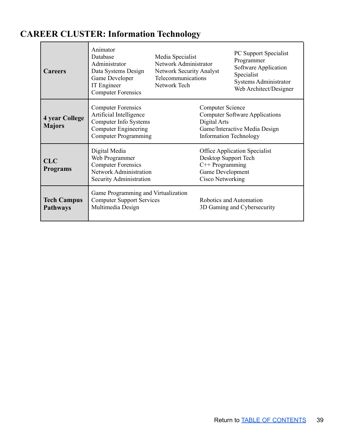## **CAREER CLUSTER: Information Technology**

| <b>Careers</b>                         | Animator<br>Database<br>Administrator<br>Data Systems Design<br>Game Developer<br>IT Engineer<br><b>Computer Forensics</b>                  | Media Specialist<br>Network Administrator<br><b>Network Security Analyst</b><br>Telecommunications<br>Network Tech |                                                                                   | PC Support Specialist<br>Programmer<br>Software Application<br>Specialist<br>Systems Administrator<br>Web Architect/Designer |
|----------------------------------------|---------------------------------------------------------------------------------------------------------------------------------------------|--------------------------------------------------------------------------------------------------------------------|-----------------------------------------------------------------------------------|------------------------------------------------------------------------------------------------------------------------------|
| <b>4 year College</b><br><b>Majors</b> | <b>Computer Forensics</b><br>Artificial Intelligence<br>Computer Info Systems<br><b>Computer Engineering</b><br><b>Computer Programming</b> |                                                                                                                    | <b>Computer Science</b><br>Digital Arts<br><b>Information Technology</b>          | <b>Computer Software Applications</b><br>Game/Interactive Media Design                                                       |
| <b>CLC</b><br><b>Programs</b>          | Digital Media<br>Web Programmer<br><b>Computer Forensics</b><br><b>Network Administration</b><br>Security Administration                    |                                                                                                                    | Desktop Support Tech<br>$C++$ Programming<br>Game Development<br>Cisco Networking | <b>Office Application Specialist</b>                                                                                         |
| <b>Tech Campus</b><br><b>Pathways</b>  | Game Programming and Virtualization<br><b>Computer Support Services</b><br>Multimedia Design                                                |                                                                                                                    |                                                                                   | Robotics and Automation<br>3D Gaming and Cybersecurity                                                                       |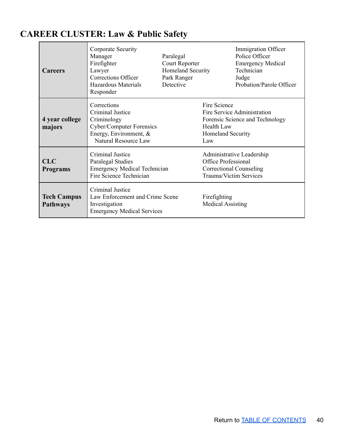## <span id="page-39-0"></span>**CAREER CLUSTER: Law & Public Safety**

| <b>Careers</b>                        | Corporate Security<br>Manager<br>Firefighter<br>Lawyer<br>Corrections Officer<br>Hazardous Materials<br>Responder            | Paralegal<br>Court Reporter<br>Homeland Security<br>Park Ranger<br>Detective |                                                                                                                     | Immigration Officer<br>Police Officer<br><b>Emergency Medical</b><br>Technician<br>Judge<br>Probation/Parole Officer |
|---------------------------------------|------------------------------------------------------------------------------------------------------------------------------|------------------------------------------------------------------------------|---------------------------------------------------------------------------------------------------------------------|----------------------------------------------------------------------------------------------------------------------|
| 4 year college<br>majors              | Corrections<br>Criminal Justice<br>Criminology<br>Cyber/Computer Forensics<br>Energy, Environment, &<br>Natural Resource Law |                                                                              | Fire Science<br><b>Health Law</b><br>Homeland Security<br>Law                                                       | Fire Service Administration<br>Forensic Science and Technology                                                       |
| <b>CLC</b><br><b>Programs</b>         | Criminal Justice<br>Paralegal Studies<br><b>Emergency Medical Technician</b><br>Fire Science Technician                      |                                                                              | Administrative Leadership<br><b>Office Professional</b><br><b>Correctional Counseling</b><br>Trauma/Victim Services |                                                                                                                      |
| <b>Tech Campus</b><br><b>Pathways</b> | Criminal Justice<br>Law Enforcement and Crime Scene<br>Investigation<br><b>Emergency Medical Services</b>                    |                                                                              | Firefighting<br><b>Medical Assisting</b>                                                                            |                                                                                                                      |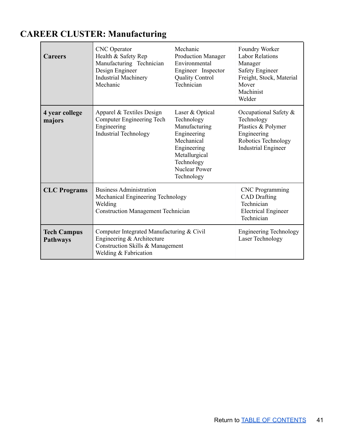## <span id="page-40-0"></span>**CAREER CLUSTER: Manufacturing**

| <b>Careers</b>                        | <b>CNC</b> Operator<br>Health & Safety Rep<br>Manufacturing Technician<br>Design Engineer<br><b>Industrial Machinery</b><br>Mechanic | Mechanic<br>Production Manager<br>Environmental<br>Engineer Inspector<br><b>Quality Control</b><br>Technician                                                   | Foundry Worker<br><b>Labor Relations</b><br>Manager<br><b>Safety Engineer</b><br>Freight, Stock, Material<br>Mover<br>Machinist<br>Welder |
|---------------------------------------|--------------------------------------------------------------------------------------------------------------------------------------|-----------------------------------------------------------------------------------------------------------------------------------------------------------------|-------------------------------------------------------------------------------------------------------------------------------------------|
| 4 year college<br>majors              | Apparel & Textiles Design<br><b>Computer Engineering Tech</b><br>Engineering<br><b>Industrial Technology</b>                         | Laser & Optical<br>Technology<br>Manufacturing<br>Engineering<br>Mechanical<br>Engineering<br>Metallurgical<br>Technology<br><b>Nuclear Power</b><br>Technology | Occupational Safety &<br>Technology<br>Plastics & Polymer<br>Engineering<br>Robotics Technology<br><b>Industrial Engineer</b>             |
| <b>CLC</b> Programs                   | <b>Business Administration</b><br>Mechanical Engineering Technology<br>Welding<br><b>Construction Management Technician</b>          |                                                                                                                                                                 | <b>CNC</b> Programming<br><b>CAD</b> Drafting<br>Technician<br><b>Electrical Engineer</b><br>Technician                                   |
| <b>Tech Campus</b><br><b>Pathways</b> | Computer Integrated Manufacturing & Civil<br>Engineering & Architecture<br>Construction Skills & Management<br>Welding & Fabrication |                                                                                                                                                                 | <b>Engineering Technology</b><br>Laser Technology                                                                                         |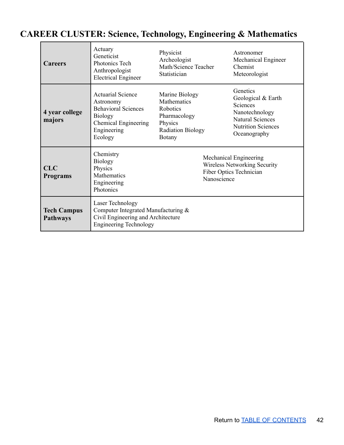| <b>Careers</b>                | Actuary<br>Geneticist<br>Photonics Tech<br>Anthropologist<br><b>Electrical Engineer</b>                                                        | Physicist<br>Archeologist<br>Math/Science Teacher<br>Statistician                                                        | Astronomer<br>Mechanical Engineer<br>Chemist<br>Meteorologist                                                                        |
|-------------------------------|------------------------------------------------------------------------------------------------------------------------------------------------|--------------------------------------------------------------------------------------------------------------------------|--------------------------------------------------------------------------------------------------------------------------------------|
| 4 year college<br>majors      | <b>Actuarial Science</b><br>Astronomy<br><b>Behavioral Sciences</b><br><b>Biology</b><br><b>Chemical Engineering</b><br>Engineering<br>Ecology | Marine Biology<br><b>Mathematics</b><br>Robotics<br>Pharmacology<br>Physics<br><b>Radiation Biology</b><br><b>Botany</b> | Genetics<br>Geological & Earth<br>Sciences<br>Nanotechnology<br><b>Natural Sciences</b><br><b>Nutrition Sciences</b><br>Oceanography |
| <b>CLC</b><br><b>Programs</b> | Chemistry<br><b>Biology</b><br>Physics<br>Mathematics<br>Engineering<br>Photonics                                                              | Mechanical Engineering<br><b>Wireless Networking Security</b><br>Fiber Optics Technician<br>Nanoscience                  |                                                                                                                                      |

**Tech Campus Pathways**

Laser Technology

Engineering Technology

Computer Integrated Manufacturing & Civil Engineering and Architecture

### <span id="page-41-0"></span>**CAREER CLUSTER: Science, Technology, Engineering & Mathematics**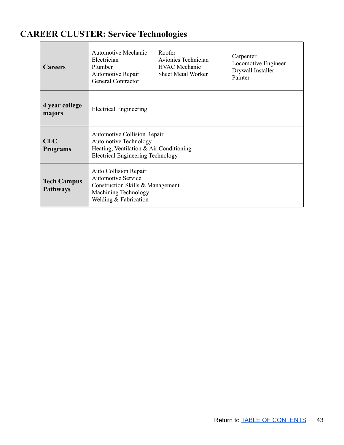## <span id="page-42-0"></span>**CAREER CLUSTER: Service Technologies**

| <b>Careers</b>                        | <b>Automotive Mechanic</b><br>Electrician<br>Plumber<br>Automotive Repair<br><b>General Contractor</b>                                                    | Roofer<br>Avionics Technician<br><b>HVAC</b> Mechanic<br><b>Sheet Metal Worker</b> | Carpenter<br>Locomotive Engineer<br>Drywall Installer<br>Painter |  |
|---------------------------------------|-----------------------------------------------------------------------------------------------------------------------------------------------------------|------------------------------------------------------------------------------------|------------------------------------------------------------------|--|
| 4 year college<br>majors              | <b>Electrical Engineering</b>                                                                                                                             |                                                                                    |                                                                  |  |
| <b>CLC</b><br><b>Programs</b>         | <b>Automotive Collision Repair</b><br><b>Automotive Technology</b><br>Heating, Ventilation & Air Conditioning<br><b>Electrical Engineering Technology</b> |                                                                                    |                                                                  |  |
| <b>Tech Campus</b><br><b>Pathways</b> | <b>Auto Collision Repair</b><br><b>Automotive Service</b><br>Construction Skills & Management<br>Machining Technology<br>Welding & Fabrication            |                                                                                    |                                                                  |  |